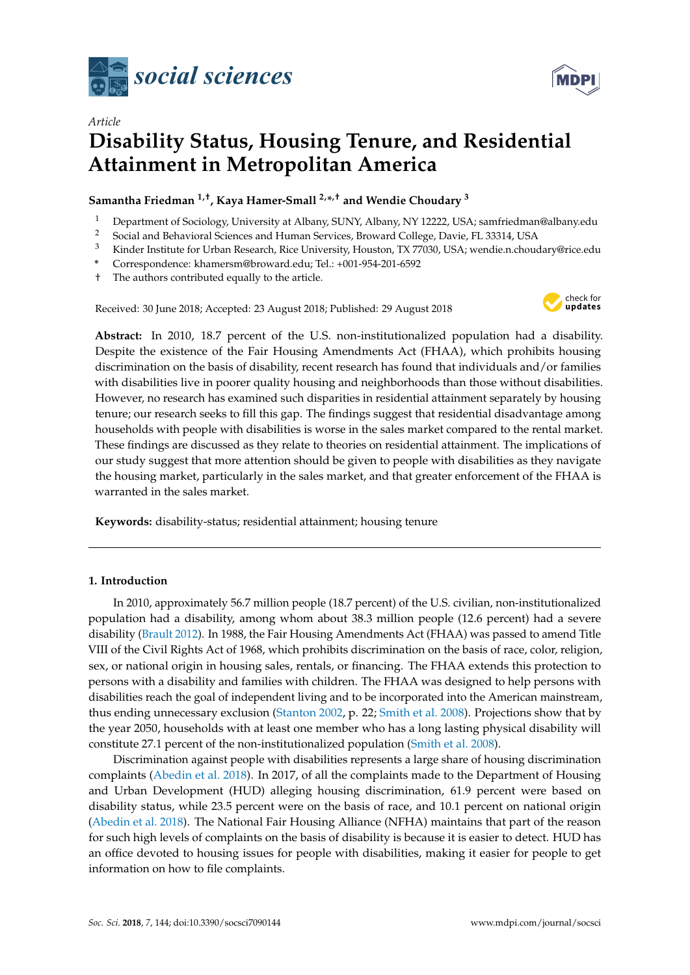

*Article*



# **Disability Status, Housing Tenure, and Residential Attainment in Metropolitan America**

# **Samantha Friedman 1,†, Kaya Hamer-Small 2,\* ,† and Wendie Choudary <sup>3</sup>**

- <sup>1</sup> Department of Sociology, University at Albany, SUNY, Albany, NY 12222, USA; samfriedman@albany.edu<br><sup>2</sup> Social and Behavioral Scionces and Human Services, Braunad Colloge, Davis, EL 22214, USA
- <sup>2</sup> Social and Behavioral Sciences and Human Services, Broward College, Davie, FL 33314, USA<br><sup>3</sup> Kinder Institute for Urban Becearch, Bice University, Houston, TX 77020, USA wendie n shous
- <sup>3</sup> Kinder Institute for Urban Research, Rice University, Houston, TX 77030, USA; wendie.n.choudary@rice.edu
- **\*** Correspondence: khamersm@broward.edu; Tel.: +001-954-201-6592
- † The authors contributed equally to the article.

Received: 30 June 2018; Accepted: 23 August 2018; Published: 29 August 2018



**Abstract:** In 2010, 18.7 percent of the U.S. non-institutionalized population had a disability. Despite the existence of the Fair Housing Amendments Act (FHAA), which prohibits housing discrimination on the basis of disability, recent research has found that individuals and/or families with disabilities live in poorer quality housing and neighborhoods than those without disabilities. However, no research has examined such disparities in residential attainment separately by housing tenure; our research seeks to fill this gap. The findings suggest that residential disadvantage among households with people with disabilities is worse in the sales market compared to the rental market. These findings are discussed as they relate to theories on residential attainment. The implications of our study suggest that more attention should be given to people with disabilities as they navigate the housing market, particularly in the sales market, and that greater enforcement of the FHAA is warranted in the sales market.

**Keywords:** disability-status; residential attainment; housing tenure

#### **1. Introduction**

In 2010, approximately 56.7 million people (18.7 percent) of the U.S. civilian, non-institutionalized population had a disability, among whom about 38.3 million people (12.6 percent) had a severe disability [\(Brault](#page-16-0) [2012\)](#page-16-0). In 1988, the Fair Housing Amendments Act (FHAA) was passed to amend Title VIII of the Civil Rights Act of 1968, which prohibits discrimination on the basis of race, color, religion, sex, or national origin in housing sales, rentals, or financing. The FHAA extends this protection to persons with a disability and families with children. The FHAA was designed to help persons with disabilities reach the goal of independent living and to be incorporated into the American mainstream, thus ending unnecessary exclusion [\(Stanton](#page-17-0) [2002,](#page-17-0) p. 22; [Smith et al.](#page-17-1) [2008\)](#page-17-1). Projections show that by the year 2050, households with at least one member who has a long lasting physical disability will constitute 27.1 percent of the non-institutionalized population [\(Smith et al.](#page-17-1) [2008\)](#page-17-1).

Discrimination against people with disabilities represents a large share of housing discrimination complaints [\(Abedin et al.](#page-15-0) [2018\)](#page-15-0). In 2017, of all the complaints made to the Department of Housing and Urban Development (HUD) alleging housing discrimination, 61.9 percent were based on disability status, while 23.5 percent were on the basis of race, and 10.1 percent on national origin [\(Abedin et al.](#page-15-0) [2018\)](#page-15-0). The National Fair Housing Alliance (NFHA) maintains that part of the reason for such high levels of complaints on the basis of disability is because it is easier to detect. HUD has an office devoted to housing issues for people with disabilities, making it easier for people to get information on how to file complaints.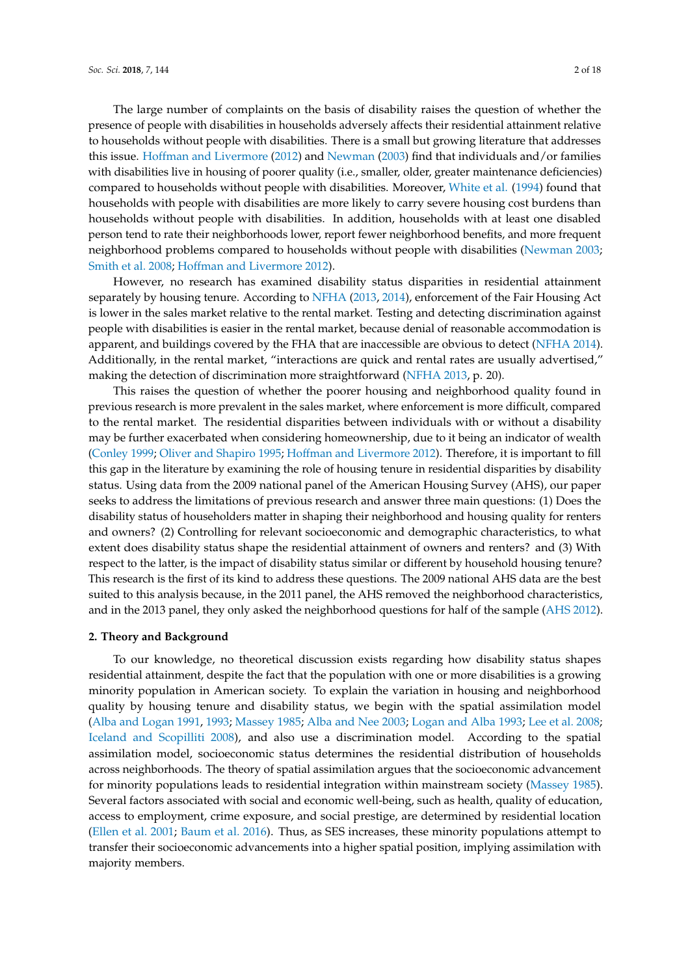The large number of complaints on the basis of disability raises the question of whether the presence of people with disabilities in households adversely affects their residential attainment relative to households without people with disabilities. There is a small but growing literature that addresses this issue. [Hoffman and Livermore](#page-16-1) [\(2012\)](#page-16-1) and [Newman](#page-16-2) [\(2003\)](#page-16-2) find that individuals and/or families with disabilities live in housing of poorer quality (i.e., smaller, older, greater maintenance deficiencies) compared to households without people with disabilities. Moreover, [White et al.](#page-17-2) [\(1994\)](#page-17-2) found that households with people with disabilities are more likely to carry severe housing cost burdens than households without people with disabilities. In addition, households with at least one disabled person tend to rate their neighborhoods lower, report fewer neighborhood benefits, and more frequent neighborhood problems compared to households without people with disabilities [\(Newman](#page-16-2) [2003;](#page-16-2) [Smith et al.](#page-17-1) [2008;](#page-17-1) [Hoffman and Livermore](#page-16-1) [2012\)](#page-16-1).

However, no research has examined disability status disparities in residential attainment separately by housing tenure. According to [NFHA](#page-17-3) [\(2013,](#page-17-3) [2014\)](#page-17-4), enforcement of the Fair Housing Act is lower in the sales market relative to the rental market. Testing and detecting discrimination against people with disabilities is easier in the rental market, because denial of reasonable accommodation is apparent, and buildings covered by the FHA that are inaccessible are obvious to detect [\(NFHA](#page-17-4) [2014\)](#page-17-4). Additionally, in the rental market, "interactions are quick and rental rates are usually advertised," making the detection of discrimination more straightforward [\(NFHA](#page-17-3) [2013,](#page-17-3) p. 20).

This raises the question of whether the poorer housing and neighborhood quality found in previous research is more prevalent in the sales market, where enforcement is more difficult, compared to the rental market. The residential disparities between individuals with or without a disability may be further exacerbated when considering homeownership, due to it being an indicator of wealth [\(Conley](#page-16-3) [1999;](#page-16-3) [Oliver and Shapiro](#page-17-5) [1995;](#page-17-5) [Hoffman and Livermore](#page-16-1) [2012\)](#page-16-1). Therefore, it is important to fill this gap in the literature by examining the role of housing tenure in residential disparities by disability status. Using data from the 2009 national panel of the American Housing Survey (AHS), our paper seeks to address the limitations of previous research and answer three main questions: (1) Does the disability status of householders matter in shaping their neighborhood and housing quality for renters and owners? (2) Controlling for relevant socioeconomic and demographic characteristics, to what extent does disability status shape the residential attainment of owners and renters? and (3) With respect to the latter, is the impact of disability status similar or different by household housing tenure? This research is the first of its kind to address these questions. The 2009 national AHS data are the best suited to this analysis because, in the 2011 panel, the AHS removed the neighborhood characteristics, and in the 2013 panel, they only asked the neighborhood questions for half of the sample [\(AHS](#page-15-1) [2012\)](#page-15-1).

#### **2. Theory and Background**

To our knowledge, no theoretical discussion exists regarding how disability status shapes residential attainment, despite the fact that the population with one or more disabilities is a growing minority population in American society. To explain the variation in housing and neighborhood quality by housing tenure and disability status, we begin with the spatial assimilation model [\(Alba and Logan](#page-15-2) [1991,](#page-15-2) [1993;](#page-15-3) [Massey](#page-16-4) [1985;](#page-16-4) [Alba and Nee](#page-15-4) [2003;](#page-15-4) [Logan and Alba](#page-16-5) [1993;](#page-16-5) [Lee et al.](#page-16-6) [2008;](#page-16-6) [Iceland and Scopilliti](#page-16-7) [2008\)](#page-16-7), and also use a discrimination model. According to the spatial assimilation model, socioeconomic status determines the residential distribution of households across neighborhoods. The theory of spatial assimilation argues that the socioeconomic advancement for minority populations leads to residential integration within mainstream society [\(Massey](#page-16-4) [1985\)](#page-16-4). Several factors associated with social and economic well-being, such as health, quality of education, access to employment, crime exposure, and social prestige, are determined by residential location [\(Ellen et al.](#page-16-8) [2001;](#page-16-8) [Baum et al.](#page-16-9) [2016\)](#page-16-9). Thus, as SES increases, these minority populations attempt to transfer their socioeconomic advancements into a higher spatial position, implying assimilation with majority members.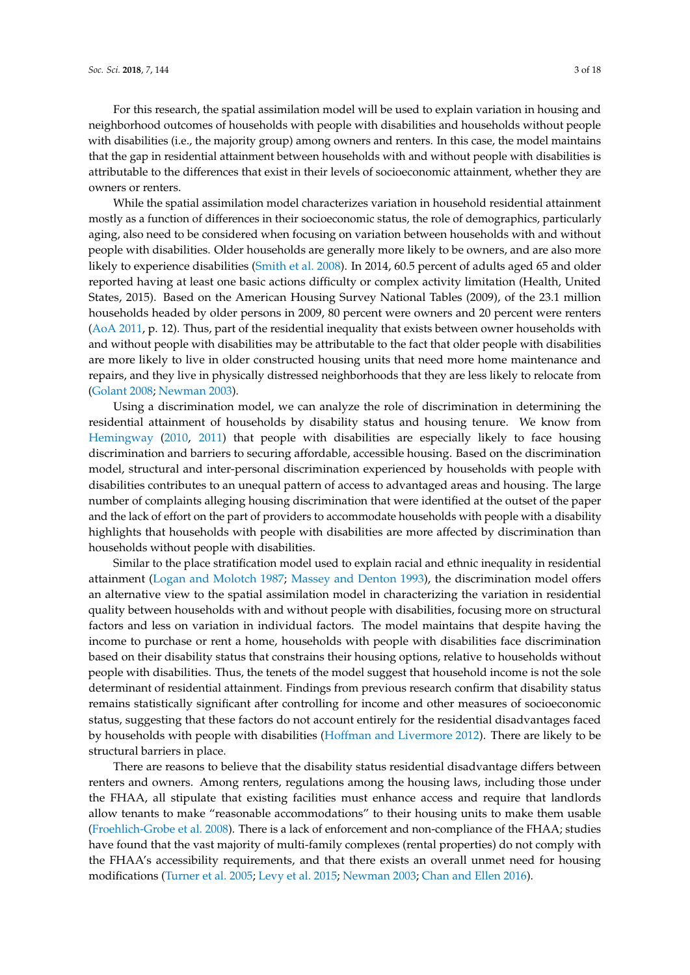For this research, the spatial assimilation model will be used to explain variation in housing and neighborhood outcomes of households with people with disabilities and households without people with disabilities (i.e., the majority group) among owners and renters. In this case, the model maintains that the gap in residential attainment between households with and without people with disabilities is attributable to the differences that exist in their levels of socioeconomic attainment, whether they are owners or renters.

While the spatial assimilation model characterizes variation in household residential attainment mostly as a function of differences in their socioeconomic status, the role of demographics, particularly aging, also need to be considered when focusing on variation between households with and without people with disabilities. Older households are generally more likely to be owners, and are also more likely to experience disabilities [\(Smith et al.](#page-17-1) [2008\)](#page-17-1). In 2014, 60.5 percent of adults aged 65 and older reported having at least one basic actions difficulty or complex activity limitation (Health, United States, 2015). Based on the American Housing Survey National Tables (2009), of the 23.1 million households headed by older persons in 2009, 80 percent were owners and 20 percent were renters [\(AoA](#page-16-10) [2011,](#page-16-10) p. 12). Thus, part of the residential inequality that exists between owner households with and without people with disabilities may be attributable to the fact that older people with disabilities are more likely to live in older constructed housing units that need more home maintenance and repairs, and they live in physically distressed neighborhoods that they are less likely to relocate from [\(Golant](#page-16-11) [2008;](#page-16-11) [Newman](#page-16-2) [2003\)](#page-16-2).

Using a discrimination model, we can analyze the role of discrimination in determining the residential attainment of households by disability status and housing tenure. We know from [Hemingway](#page-16-12) [\(2010,](#page-16-12) [2011\)](#page-16-13) that people with disabilities are especially likely to face housing discrimination and barriers to securing affordable, accessible housing. Based on the discrimination model, structural and inter-personal discrimination experienced by households with people with disabilities contributes to an unequal pattern of access to advantaged areas and housing. The large number of complaints alleging housing discrimination that were identified at the outset of the paper and the lack of effort on the part of providers to accommodate households with people with a disability highlights that households with people with disabilities are more affected by discrimination than households without people with disabilities.

Similar to the place stratification model used to explain racial and ethnic inequality in residential attainment [\(Logan and Molotch](#page-16-14) [1987;](#page-16-14) [Massey and Denton](#page-16-15) [1993\)](#page-16-15), the discrimination model offers an alternative view to the spatial assimilation model in characterizing the variation in residential quality between households with and without people with disabilities, focusing more on structural factors and less on variation in individual factors. The model maintains that despite having the income to purchase or rent a home, households with people with disabilities face discrimination based on their disability status that constrains their housing options, relative to households without people with disabilities. Thus, the tenets of the model suggest that household income is not the sole determinant of residential attainment. Findings from previous research confirm that disability status remains statistically significant after controlling for income and other measures of socioeconomic status, suggesting that these factors do not account entirely for the residential disadvantages faced by households with people with disabilities [\(Hoffman and Livermore](#page-16-1) [2012\)](#page-16-1). There are likely to be structural barriers in place.

There are reasons to believe that the disability status residential disadvantage differs between renters and owners. Among renters, regulations among the housing laws, including those under the FHAA, all stipulate that existing facilities must enhance access and require that landlords allow tenants to make "reasonable accommodations" to their housing units to make them usable [\(Froehlich-Grobe et al.](#page-16-16) [2008\)](#page-16-16). There is a lack of enforcement and non-compliance of the FHAA; studies have found that the vast majority of multi-family complexes (rental properties) do not comply with the FHAA's accessibility requirements, and that there exists an overall unmet need for housing modifications [\(Turner et al.](#page-17-6) [2005;](#page-17-6) [Levy et al.](#page-16-17) [2015;](#page-16-17) [Newman](#page-16-2) [2003;](#page-16-2) [Chan and Ellen](#page-16-18) [2016\)](#page-16-18).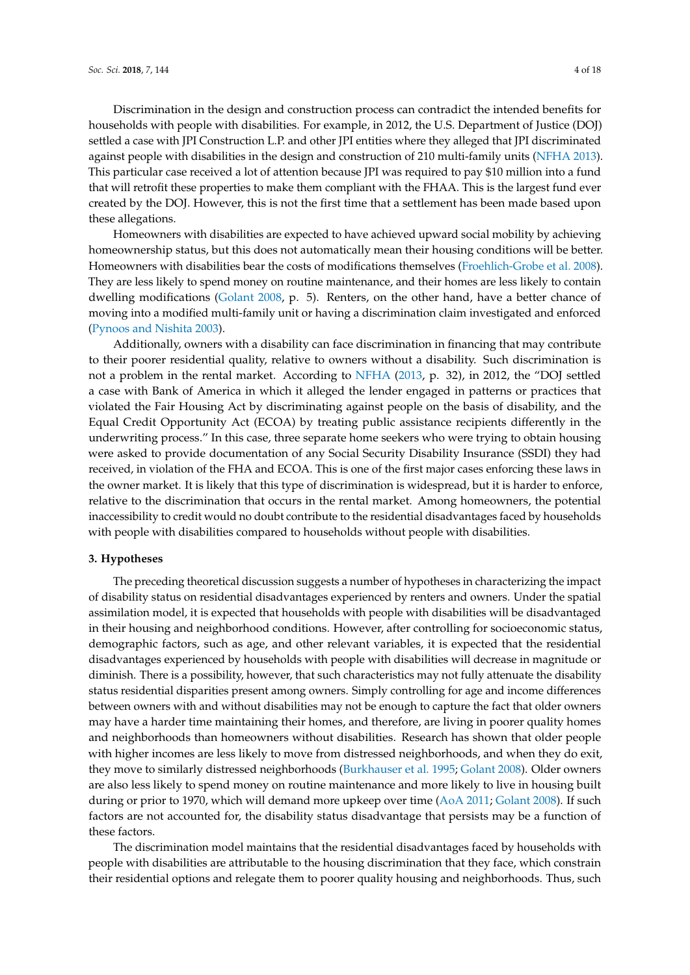Discrimination in the design and construction process can contradict the intended benefits for households with people with disabilities. For example, in 2012, the U.S. Department of Justice (DOJ) settled a case with JPI Construction L.P. and other JPI entities where they alleged that JPI discriminated against people with disabilities in the design and construction of 210 multi-family units [\(NFHA](#page-17-3) [2013\)](#page-17-3). This particular case received a lot of attention because JPI was required to pay \$10 million into a fund that will retrofit these properties to make them compliant with the FHAA. This is the largest fund ever created by the DOJ. However, this is not the first time that a settlement has been made based upon these allegations.

Homeowners with disabilities are expected to have achieved upward social mobility by achieving homeownership status, but this does not automatically mean their housing conditions will be better. Homeowners with disabilities bear the costs of modifications themselves [\(Froehlich-Grobe et al.](#page-16-16) [2008\)](#page-16-16). They are less likely to spend money on routine maintenance, and their homes are less likely to contain dwelling modifications [\(Golant](#page-16-11) [2008,](#page-16-11) p. 5). Renters, on the other hand, have a better chance of moving into a modified multi-family unit or having a discrimination claim investigated and enforced [\(Pynoos and Nishita](#page-17-7) [2003\)](#page-17-7).

Additionally, owners with a disability can face discrimination in financing that may contribute to their poorer residential quality, relative to owners without a disability. Such discrimination is not a problem in the rental market. According to [NFHA](#page-17-3) [\(2013,](#page-17-3) p. 32), in 2012, the "DOJ settled a case with Bank of America in which it alleged the lender engaged in patterns or practices that violated the Fair Housing Act by discriminating against people on the basis of disability, and the Equal Credit Opportunity Act (ECOA) by treating public assistance recipients differently in the underwriting process." In this case, three separate home seekers who were trying to obtain housing were asked to provide documentation of any Social Security Disability Insurance (SSDI) they had received, in violation of the FHA and ECOA. This is one of the first major cases enforcing these laws in the owner market. It is likely that this type of discrimination is widespread, but it is harder to enforce, relative to the discrimination that occurs in the rental market. Among homeowners, the potential inaccessibility to credit would no doubt contribute to the residential disadvantages faced by households with people with disabilities compared to households without people with disabilities.

#### **3. Hypotheses**

The preceding theoretical discussion suggests a number of hypotheses in characterizing the impact of disability status on residential disadvantages experienced by renters and owners. Under the spatial assimilation model, it is expected that households with people with disabilities will be disadvantaged in their housing and neighborhood conditions. However, after controlling for socioeconomic status, demographic factors, such as age, and other relevant variables, it is expected that the residential disadvantages experienced by households with people with disabilities will decrease in magnitude or diminish. There is a possibility, however, that such characteristics may not fully attenuate the disability status residential disparities present among owners. Simply controlling for age and income differences between owners with and without disabilities may not be enough to capture the fact that older owners may have a harder time maintaining their homes, and therefore, are living in poorer quality homes and neighborhoods than homeowners without disabilities. Research has shown that older people with higher incomes are less likely to move from distressed neighborhoods, and when they do exit, they move to similarly distressed neighborhoods [\(Burkhauser et al.](#page-16-19) [1995;](#page-16-19) [Golant](#page-16-11) [2008\)](#page-16-11). Older owners are also less likely to spend money on routine maintenance and more likely to live in housing built during or prior to 1970, which will demand more upkeep over time [\(AoA](#page-16-10) [2011;](#page-16-10) [Golant](#page-16-11) [2008\)](#page-16-11). If such factors are not accounted for, the disability status disadvantage that persists may be a function of these factors.

The discrimination model maintains that the residential disadvantages faced by households with people with disabilities are attributable to the housing discrimination that they face, which constrain their residential options and relegate them to poorer quality housing and neighborhoods. Thus, such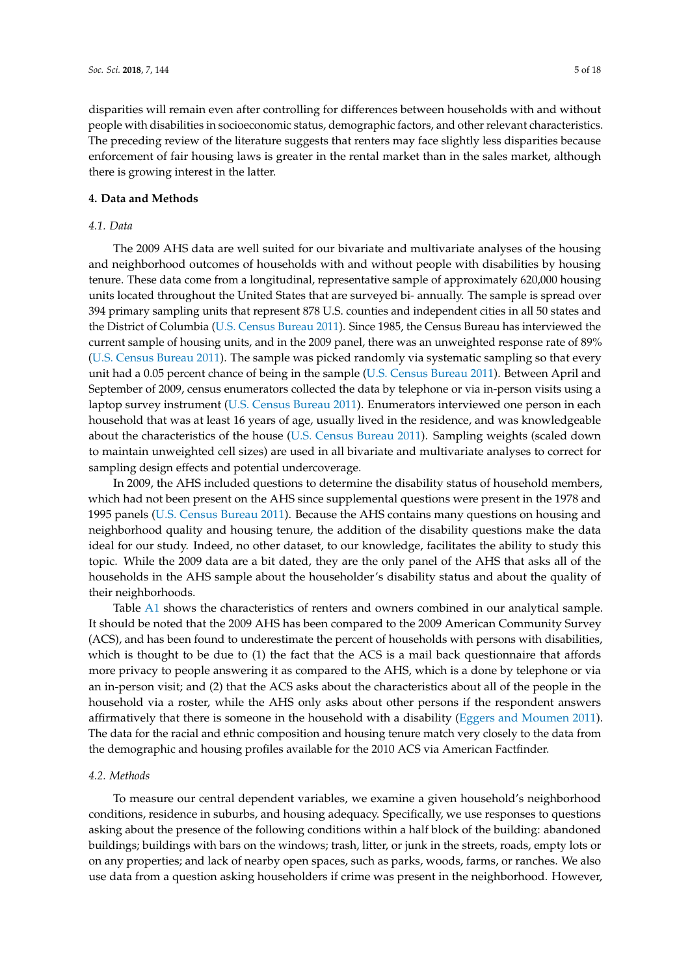disparities will remain even after controlling for differences between households with and without people with disabilities in socioeconomic status, demographic factors, and other relevant characteristics. The preceding review of the literature suggests that renters may face slightly less disparities because enforcement of fair housing laws is greater in the rental market than in the sales market, although there is growing interest in the latter.

## **4. Data and Methods**

#### *4.1. Data*

The 2009 AHS data are well suited for our bivariate and multivariate analyses of the housing and neighborhood outcomes of households with and without people with disabilities by housing tenure. These data come from a longitudinal, representative sample of approximately 620,000 housing units located throughout the United States that are surveyed bi- annually. The sample is spread over 394 primary sampling units that represent 878 U.S. counties and independent cities in all 50 states and the District of Columbia [\(U.S. Census Bureau](#page-17-8) [2011\)](#page-17-8). Since 1985, the Census Bureau has interviewed the current sample of housing units, and in the 2009 panel, there was an unweighted response rate of 89% [\(U.S. Census Bureau](#page-17-8) [2011\)](#page-17-8). The sample was picked randomly via systematic sampling so that every unit had a 0.05 percent chance of being in the sample [\(U.S. Census Bureau](#page-17-8) [2011\)](#page-17-8). Between April and September of 2009, census enumerators collected the data by telephone or via in-person visits using a laptop survey instrument [\(U.S. Census Bureau](#page-17-8) [2011\)](#page-17-8). Enumerators interviewed one person in each household that was at least 16 years of age, usually lived in the residence, and was knowledgeable about the characteristics of the house [\(U.S. Census Bureau](#page-17-8) [2011\)](#page-17-8). Sampling weights (scaled down to maintain unweighted cell sizes) are used in all bivariate and multivariate analyses to correct for sampling design effects and potential undercoverage.

In 2009, the AHS included questions to determine the disability status of household members, which had not been present on the AHS since supplemental questions were present in the 1978 and 1995 panels [\(U.S. Census Bureau](#page-17-8) [2011\)](#page-17-8). Because the AHS contains many questions on housing and neighborhood quality and housing tenure, the addition of the disability questions make the data ideal for our study. Indeed, no other dataset, to our knowledge, facilitates the ability to study this topic. While the 2009 data are a bit dated, they are the only panel of the AHS that asks all of the households in the AHS sample about the householder's disability status and about the quality of their neighborhoods.

Table [A1](#page-15-5) shows the characteristics of renters and owners combined in our analytical sample. It should be noted that the 2009 AHS has been compared to the 2009 American Community Survey (ACS), and has been found to underestimate the percent of households with persons with disabilities, which is thought to be due to (1) the fact that the ACS is a mail back questionnaire that affords more privacy to people answering it as compared to the AHS, which is a done by telephone or via an in-person visit; and (2) that the ACS asks about the characteristics about all of the people in the household via a roster, while the AHS only asks about other persons if the respondent answers affirmatively that there is someone in the household with a disability [\(Eggers and Moumen](#page-16-20) [2011\)](#page-16-20). The data for the racial and ethnic composition and housing tenure match very closely to the data from the demographic and housing profiles available for the 2010 ACS via American Factfinder.

#### *4.2. Methods*

To measure our central dependent variables, we examine a given household's neighborhood conditions, residence in suburbs, and housing adequacy. Specifically, we use responses to questions asking about the presence of the following conditions within a half block of the building: abandoned buildings; buildings with bars on the windows; trash, litter, or junk in the streets, roads, empty lots or on any properties; and lack of nearby open spaces, such as parks, woods, farms, or ranches. We also use data from a question asking householders if crime was present in the neighborhood. However,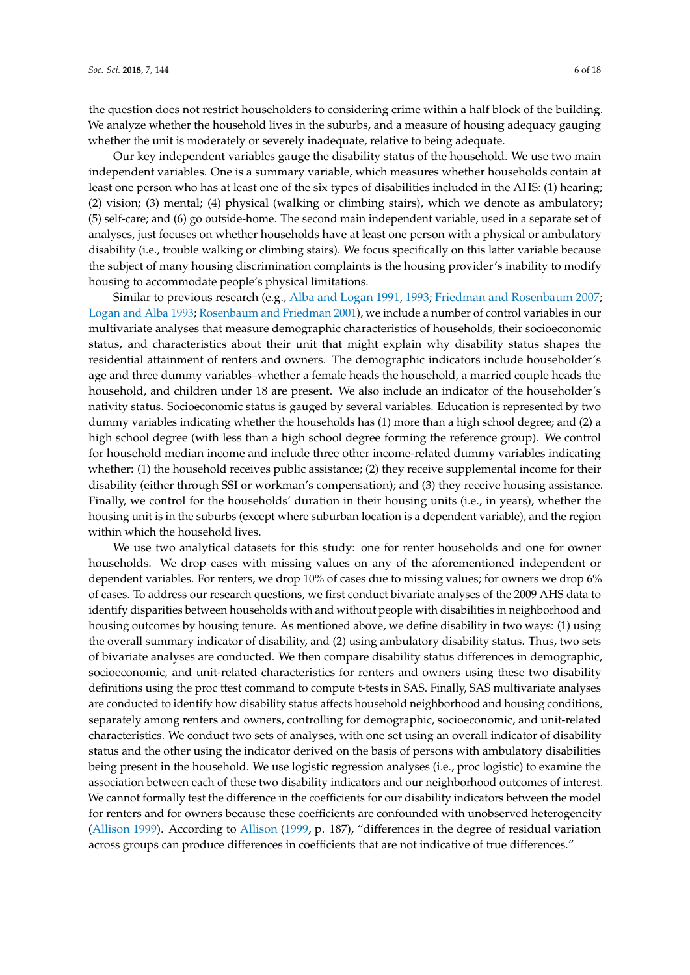the question does not restrict householders to considering crime within a half block of the building. We analyze whether the household lives in the suburbs, and a measure of housing adequacy gauging whether the unit is moderately or severely inadequate, relative to being adequate.

Our key independent variables gauge the disability status of the household. We use two main independent variables. One is a summary variable, which measures whether households contain at least one person who has at least one of the six types of disabilities included in the AHS: (1) hearing; (2) vision; (3) mental; (4) physical (walking or climbing stairs), which we denote as ambulatory; (5) self-care; and (6) go outside-home. The second main independent variable, used in a separate set of analyses, just focuses on whether households have at least one person with a physical or ambulatory disability (i.e., trouble walking or climbing stairs). We focus specifically on this latter variable because the subject of many housing discrimination complaints is the housing provider's inability to modify housing to accommodate people's physical limitations.

Similar to previous research (e.g., [Alba and Logan](#page-15-2) [1991,](#page-15-2) [1993;](#page-15-3) [Friedman and Rosenbaum](#page-16-21) [2007;](#page-16-21) [Logan and Alba](#page-16-5) [1993;](#page-16-5) [Rosenbaum and Friedman](#page-17-9) [2001\)](#page-17-9), we include a number of control variables in our multivariate analyses that measure demographic characteristics of households, their socioeconomic status, and characteristics about their unit that might explain why disability status shapes the residential attainment of renters and owners. The demographic indicators include householder's age and three dummy variables–whether a female heads the household, a married couple heads the household, and children under 18 are present. We also include an indicator of the householder's nativity status. Socioeconomic status is gauged by several variables. Education is represented by two dummy variables indicating whether the households has (1) more than a high school degree; and (2) a high school degree (with less than a high school degree forming the reference group). We control for household median income and include three other income-related dummy variables indicating whether: (1) the household receives public assistance; (2) they receive supplemental income for their disability (either through SSI or workman's compensation); and (3) they receive housing assistance. Finally, we control for the households' duration in their housing units (i.e., in years), whether the housing unit is in the suburbs (except where suburban location is a dependent variable), and the region within which the household lives.

We use two analytical datasets for this study: one for renter households and one for owner households. We drop cases with missing values on any of the aforementioned independent or dependent variables. For renters, we drop 10% of cases due to missing values; for owners we drop 6% of cases. To address our research questions, we first conduct bivariate analyses of the 2009 AHS data to identify disparities between households with and without people with disabilities in neighborhood and housing outcomes by housing tenure. As mentioned above, we define disability in two ways: (1) using the overall summary indicator of disability, and (2) using ambulatory disability status. Thus, two sets of bivariate analyses are conducted. We then compare disability status differences in demographic, socioeconomic, and unit-related characteristics for renters and owners using these two disability definitions using the proc ttest command to compute t-tests in SAS. Finally, SAS multivariate analyses are conducted to identify how disability status affects household neighborhood and housing conditions, separately among renters and owners, controlling for demographic, socioeconomic, and unit-related characteristics. We conduct two sets of analyses, with one set using an overall indicator of disability status and the other using the indicator derived on the basis of persons with ambulatory disabilities being present in the household. We use logistic regression analyses (i.e., proc logistic) to examine the association between each of these two disability indicators and our neighborhood outcomes of interest. We cannot formally test the difference in the coefficients for our disability indicators between the model for renters and for owners because these coefficients are confounded with unobserved heterogeneity [\(Allison](#page-16-22) [1999\)](#page-16-22). According to [Allison](#page-16-22) [\(1999,](#page-16-22) p. 187), "differences in the degree of residual variation across groups can produce differences in coefficients that are not indicative of true differences."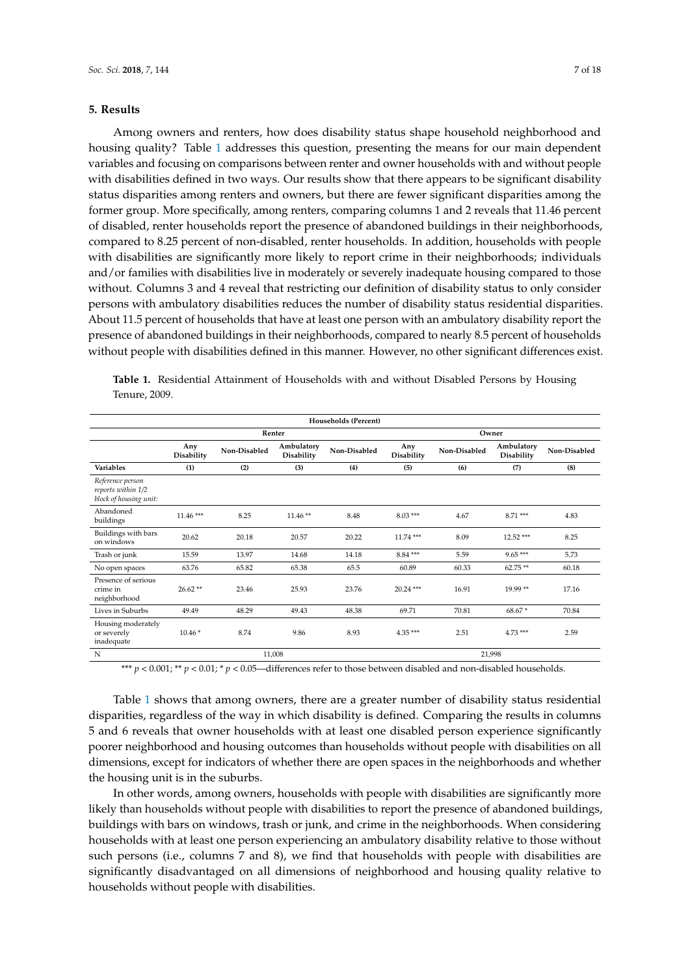#### **5. Results**

Among owners and renters, how does disability status shape household neighborhood and housing quality? Table [1](#page-6-0) addresses this question, presenting the means for our main dependent variables and focusing on comparisons between renter and owner households with and without people with disabilities defined in two ways. Our results show that there appears to be significant disability status disparities among renters and owners, but there are fewer significant disparities among the former group. More specifically, among renters, comparing columns 1 and 2 reveals that 11.46 percent of disabled, renter households report the presence of abandoned buildings in their neighborhoods, compared to 8.25 percent of non-disabled, renter households. In addition, households with people with disabilities are significantly more likely to report crime in their neighborhoods; individuals and/or families with disabilities live in moderately or severely inadequate housing compared to those without. Columns 3 and 4 reveal that restricting our definition of disability status to only consider persons with ambulatory disabilities reduces the number of disability status residential disparities. About 11.5 percent of households that have at least one person with an ambulatory disability report the presence of abandoned buildings in their neighborhoods, compared to nearly 8.5 percent of households without people with disabilities defined in this manner. However, no other significant differences exist.

<span id="page-6-0"></span>

|               | Table 1. Residential Attainment of Households with and without Disabled Persons by Housing |  |  |  |  |  |
|---------------|--------------------------------------------------------------------------------------------|--|--|--|--|--|
| Tenure, 2009. |                                                                                            |  |  |  |  |  |

|                                                                  |                   |              |                          | <b>Households (Percent)</b> |                   |              |                          |              |  |  |
|------------------------------------------------------------------|-------------------|--------------|--------------------------|-----------------------------|-------------------|--------------|--------------------------|--------------|--|--|
|                                                                  |                   |              | Renter                   |                             | Owner             |              |                          |              |  |  |
|                                                                  | Any<br>Disability | Non-Disabled | Ambulatory<br>Disability | Non-Disabled                | Any<br>Disability | Non-Disabled | Ambulatory<br>Disability | Non-Disabled |  |  |
| <b>Variables</b>                                                 | (1)               | (2)          | (3)                      | (4)                         | (5)               | (6)          | (7)                      | (8)          |  |  |
| Reference person<br>reports within 1/2<br>block of housing unit: |                   |              |                          |                             |                   |              |                          |              |  |  |
| Abandoned<br>buildings                                           | $11.46***$        | 8.25         | $11.46**$                | 8.48                        | $8.03***$         | 4.67         | $8.71***$                | 4.83         |  |  |
| Buildings with bars<br>on windows                                | 20.62             | 20.18        | 20.57                    | 20.22                       | $11.74***$        | 8.09         | 12.52 ***                | 8.25         |  |  |
| Trash or junk                                                    | 15.59             | 13.97        | 14.68                    | 14.18                       | $8.84***$         | 5.59         | $9.65***$                | 5.73         |  |  |
| No open spaces                                                   | 63.76             | 65.82        | 65.38                    | 65.5                        | 60.89             | 60.33        | $62.75**$                | 60.18        |  |  |
| Presence of serious<br>crime in<br>neighborhood                  | $26.62**$         | 23.46        | 25.93                    | 23.76                       | $20.24$ ***       | 16.91        | $19.99**$                | 17.16        |  |  |
| Lives in Suburbs                                                 | 49.49             | 48.29        | 49.43                    | 48.38                       | 69.71             | 70.81        | 68.67*                   | 70.84        |  |  |
| Housing moderately<br>or severely<br>inadequate                  | $10.46*$          | 8.74         | 9.86                     | 8.93                        | $4.35***$         | 2.51         | $4.73***$                | 2.59         |  |  |
| N                                                                |                   |              | 11,008                   |                             |                   |              | 21,998                   |              |  |  |

\*\*\*  $p < 0.001$ ; \*\*  $p < 0.01$ ; \*  $p < 0.05$ —differences refer to those between disabled and non-disabled households.

Table [1](#page-6-0) shows that among owners, there are a greater number of disability status residential disparities, regardless of the way in which disability is defined. Comparing the results in columns 5 and 6 reveals that owner households with at least one disabled person experience significantly poorer neighborhood and housing outcomes than households without people with disabilities on all dimensions, except for indicators of whether there are open spaces in the neighborhoods and whether the housing unit is in the suburbs.

In other words, among owners, households with people with disabilities are significantly more likely than households without people with disabilities to report the presence of abandoned buildings, buildings with bars on windows, trash or junk, and crime in the neighborhoods. When considering households with at least one person experiencing an ambulatory disability relative to those without such persons (i.e., columns 7 and 8), we find that households with people with disabilities are significantly disadvantaged on all dimensions of neighborhood and housing quality relative to households without people with disabilities.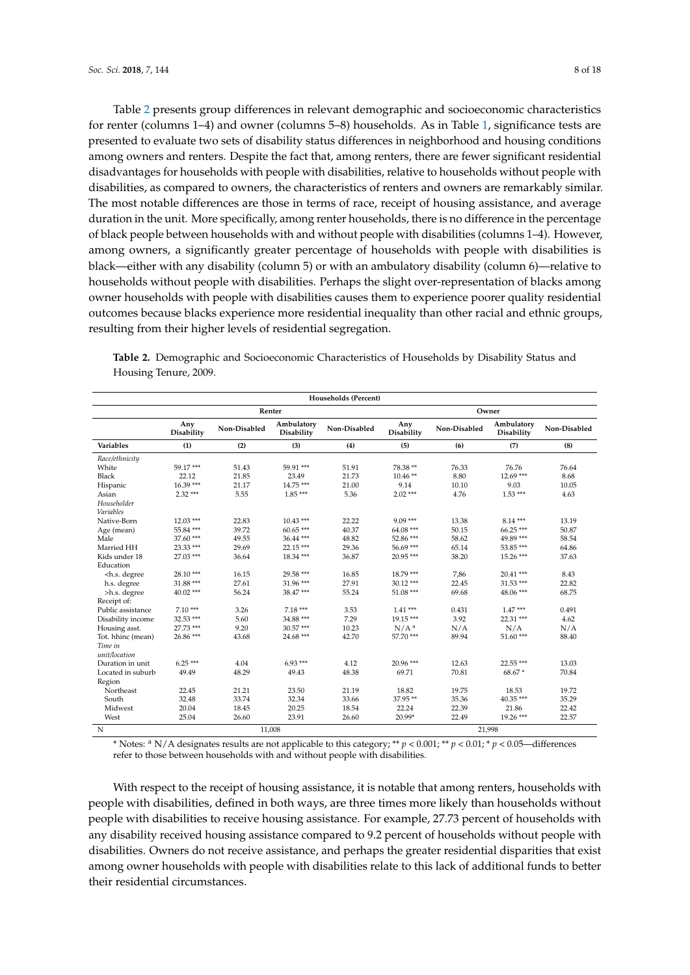Table [2](#page-7-0) presents group differences in relevant demographic and socioeconomic characteristics for renter (columns 1–4) and owner (columns 5–8) households. As in Table [1,](#page-6-0) significance tests are presented to evaluate two sets of disability status differences in neighborhood and housing conditions among owners and renters. Despite the fact that, among renters, there are fewer significant residential disadvantages for households with people with disabilities, relative to households without people with disabilities, as compared to owners, the characteristics of renters and owners are remarkably similar. The most notable differences are those in terms of race, receipt of housing assistance, and average duration in the unit. More specifically, among renter households, there is no difference in the percentage of black people between households with and without people with disabilities (columns 1–4). However, among owners, a significantly greater percentage of households with people with disabilities is black—either with any disability (column 5) or with an ambulatory disability (column 6)—relative to households without people with disabilities. Perhaps the slight over-representation of blacks among owner households with people with disabilities causes them to experience poorer quality residential outcomes because blacks experience more residential inequality than other racial and ethnic groups, resulting from their higher levels of residential segregation.

| <b>Households</b> (Percent)                                                                                                                                                         |                   |              |                          |              |                   |              |                          |              |  |  |  |
|-------------------------------------------------------------------------------------------------------------------------------------------------------------------------------------|-------------------|--------------|--------------------------|--------------|-------------------|--------------|--------------------------|--------------|--|--|--|
|                                                                                                                                                                                     |                   |              | Renter                   |              | Owner             |              |                          |              |  |  |  |
|                                                                                                                                                                                     | Any<br>Disability | Non-Disabled | Ambulatory<br>Disability | Non-Disabled | Any<br>Disability | Non-Disabled | Ambulatory<br>Disability | Non-Disabled |  |  |  |
| <b>Variables</b>                                                                                                                                                                    | (1)               | (2)          | (3)                      | (4)          | (5)               | (6)          | (7)                      | (8)          |  |  |  |
| Race/ethnicity                                                                                                                                                                      |                   |              |                          |              |                   |              |                          |              |  |  |  |
| White                                                                                                                                                                               | 59.17***          | 51.43        | 59.91 ***                | 51.91        | 78.38 **          | 76.33        | 76.76                    | 76.64        |  |  |  |
| Black                                                                                                                                                                               | 22.12             | 21.85        | 23.49                    | 21.73        | $10.46**$         | 8.80         | $12.69***$               | 8.68         |  |  |  |
| Hispanic                                                                                                                                                                            | $16.39***$        | 21.17        | 14.75 ***                | 21.00        | 9.14              | 10.10        | 9.03                     | 10.05        |  |  |  |
| Asian                                                                                                                                                                               | $2.32***$         | 5.55         | $1.85***$                | 5.36         | $2.02***$         | 4.76         | $1.53***$                | 4.63         |  |  |  |
| Householder                                                                                                                                                                         |                   |              |                          |              |                   |              |                          |              |  |  |  |
| Variables                                                                                                                                                                           |                   |              |                          |              |                   |              |                          |              |  |  |  |
| Native-Born                                                                                                                                                                         | $12.03***$        | 22.83        | $10.43***$               | 22.22        | $9.09***$         | 13.38        | $8.14***$                | 13.19        |  |  |  |
| Age (mean)                                                                                                                                                                          | 55.84 ***         | 39.72        | $60.65***$               | 40.37        | $64.08***$        | 50.15        | $66.25***$               | 50.87        |  |  |  |
| Male                                                                                                                                                                                | 37.60 ***         | 49.55        | $36.44$ ***              | 48.82        | 52.86 ***         | 58.62        | 49.89***                 | 58.54        |  |  |  |
| Married HH                                                                                                                                                                          | $23.33***$        | 29.69        | $22.15***$               | 29.36        | $56.69***$        | 65.14        | 53.85***                 | 64.86        |  |  |  |
| Kids under 18                                                                                                                                                                       | $27.03***$        | 36.64        | $18.34***$               | 36.87        | $20.95***$        |              | $15.26$ ***              | 37.63        |  |  |  |
| Education                                                                                                                                                                           |                   |              |                          |              |                   |              |                          |              |  |  |  |
| <h.s. degree<="" td=""><td>28.10***</td><td>16.15</td><td>29.58 ***</td><td>16.85</td><td><math>18.79***</math></td><td>7,86</td><td><math>20.41***</math></td><td>8.43</td></h.s.> | 28.10***          | 16.15        | 29.58 ***                | 16.85        | $18.79***$        | 7,86         | $20.41***$               | 8.43         |  |  |  |
| h.s. degree                                                                                                                                                                         | 31.88 ***         | 27.61        | 31.96 ***                | 27.91        | $30.12***$        | 22.45        | $31.53***$               | 22.82        |  |  |  |
| >h.s. degree                                                                                                                                                                        | $40.02$ ***       | 56.24        | 38.47***                 | 55.24        | $51.08***$        | 69.68        | 48.06 ***                | 68.75        |  |  |  |
| Receipt of:                                                                                                                                                                         |                   |              |                          |              |                   |              |                          |              |  |  |  |
| Public assistance                                                                                                                                                                   | $7.10***$         | 3.26         | $7.18***$                | 3.53         | $1.41***$         | 0.431        | $1.47***$                | 0.491        |  |  |  |
| Disability income                                                                                                                                                                   | 32.53 ***         | 5.60         | 34.88 ***                | 7.29         | 19.15***          | 3.92         | $22.31***$               | 4.62         |  |  |  |
| Housing asst.                                                                                                                                                                       | $27.73$ ***       | 9.20         | $30.57***$               | 10.23        | N/A <sup>a</sup>  | N/A          | N/A                      | N/A          |  |  |  |
| Tot. hhinc (mean)                                                                                                                                                                   | 26.86 ***         | 43.68        | 24.68 ***                | 42.70        | 57.70 ***         | 89.94        | $51.60***$               | 88.40        |  |  |  |
| Time in                                                                                                                                                                             |                   |              |                          |              |                   |              |                          |              |  |  |  |
| unit/location                                                                                                                                                                       |                   |              |                          |              |                   |              |                          |              |  |  |  |
| Duration in unit                                                                                                                                                                    | $6.25***$         | 4.04         | $6.93***$                | 4.12         | $20.96***$        | 12.63        | 22.55 ***                | 13.03        |  |  |  |
| Located in suburb                                                                                                                                                                   | 49.49             | 48.29        | 49.43                    | 48.38        | 69.71             | 70.81        | $68.67*$                 | 70.84        |  |  |  |
| Region                                                                                                                                                                              |                   |              |                          |              |                   |              |                          |              |  |  |  |
| Northeast                                                                                                                                                                           | 22.45             | 21.21        | 23.50                    | 21.19        | 18.82             | 19.75        | 18.53                    | 19.72        |  |  |  |
| South                                                                                                                                                                               | 32.48             | 33.74        | 32.34                    | 33.66        | 37.95**           | 35.36        | $40.35***$               | 35.29        |  |  |  |
| Midwest                                                                                                                                                                             | 20.04             | 18.45        | 20.25                    | 18.54        | 22.24             | 22.39        | 21.86                    | 22.42        |  |  |  |
| West                                                                                                                                                                                | 25.04             | 26.60        | 23.91                    | 26.60        | 20.99*            | 22.49        | $19.26***$               | 22.57        |  |  |  |
| N                                                                                                                                                                                   |                   |              | 11,008                   |              |                   |              | 21,998                   |              |  |  |  |

<span id="page-7-0"></span>**Table 2.** Demographic and Socioeconomic Characteristics of Households by Disability Status and Housing Tenure, 2009.

\* Notes: <sup>a</sup> N/A designates results are not applicable to this category; \*\* *p* < 0.001; \*\* *p* < 0.01; \* *p* < 0.05—differences refer to those between households with and without people with disabilities.

With respect to the receipt of housing assistance, it is notable that among renters, households with people with disabilities, defined in both ways, are three times more likely than households without people with disabilities to receive housing assistance. For example, 27.73 percent of households with any disability received housing assistance compared to 9.2 percent of households without people with disabilities. Owners do not receive assistance, and perhaps the greater residential disparities that exist among owner households with people with disabilities relate to this lack of additional funds to better their residential circumstances.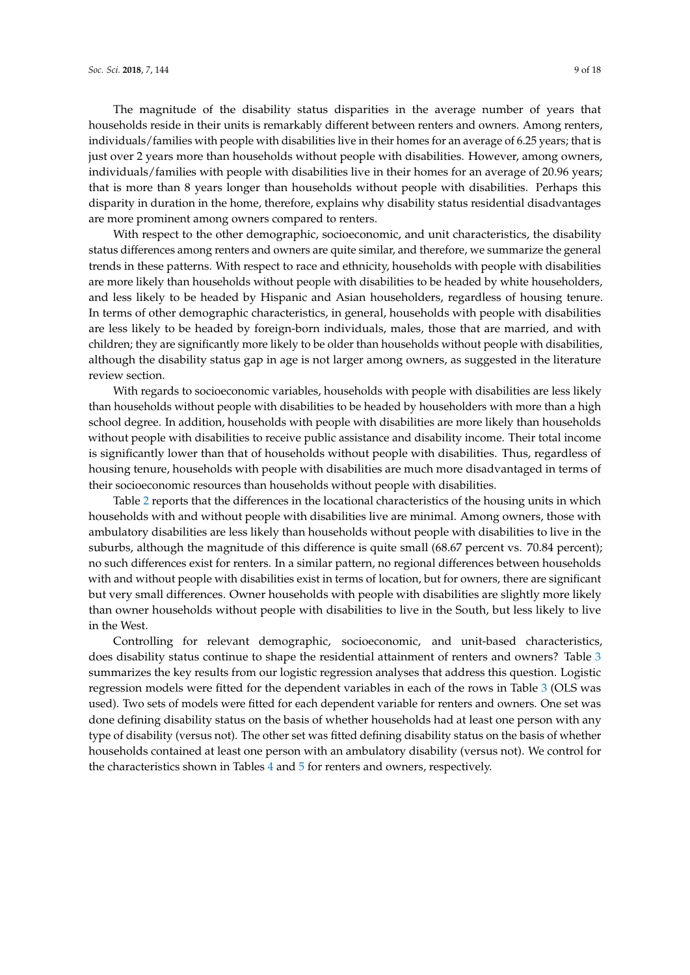The magnitude of the disability status disparities in the average number of years that households reside in their units is remarkably different between renters and owners. Among renters, individuals/families with people with disabilities live in their homes for an average of 6.25 years; that is just over 2 years more than households without people with disabilities. However, among owners, individuals/families with people with disabilities live in their homes for an average of 20.96 years; that is more than 8 years longer than households without people with disabilities. Perhaps this disparity in duration in the home, therefore, explains why disability status residential disadvantages are more prominent among owners compared to renters.

With respect to the other demographic, socioeconomic, and unit characteristics, the disability status differences among renters and owners are quite similar, and therefore, we summarize the general trends in these patterns. With respect to race and ethnicity, households with people with disabilities are more likely than households without people with disabilities to be headed by white householders, and less likely to be headed by Hispanic and Asian householders, regardless of housing tenure. In terms of other demographic characteristics, in general, households with people with disabilities are less likely to be headed by foreign-born individuals, males, those that are married, and with children; they are significantly more likely to be older than households without people with disabilities, although the disability status gap in age is not larger among owners, as suggested in the literature review section.

With regards to socioeconomic variables, households with people with disabilities are less likely than households without people with disabilities to be headed by householders with more than a high school degree. In addition, households with people with disabilities are more likely than households without people with disabilities to receive public assistance and disability income. Their total income is significantly lower than that of households without people with disabilities. Thus, regardless of housing tenure, households with people with disabilities are much more disadvantaged in terms of their socioeconomic resources than households without people with disabilities.

Table [2](#page-7-0) reports that the differences in the locational characteristics of the housing units in which households with and without people with disabilities live are minimal. Among owners, those with ambulatory disabilities are less likely than households without people with disabilities to live in the suburbs, although the magnitude of this difference is quite small (68.67 percent vs. 70.84 percent); no such differences exist for renters. In a similar pattern, no regional differences between households with and without people with disabilities exist in terms of location, but for owners, there are significant but very small differences. Owner households with people with disabilities are slightly more likely than owner households without people with disabilities to live in the South, but less likely to live in the West.

Controlling for relevant demographic, socioeconomic, and unit-based characteristics, does disability status continue to shape the residential attainment of renters and owners? Table [3](#page-9-0) summarizes the key results from our logistic regression analyses that address this question. Logistic regression models were fitted for the dependent variables in each of the rows in Table [3](#page-9-0) (OLS was used). Two sets of models were fitted for each dependent variable for renters and owners. One set was done defining disability status on the basis of whether households had at least one person with any type of disability (versus not). The other set was fitted defining disability status on the basis of whether households contained at least one person with an ambulatory disability (versus not). We control for the characteristics shown in Tables [4](#page-11-0) and [5](#page-12-0) for renters and owners, respectively.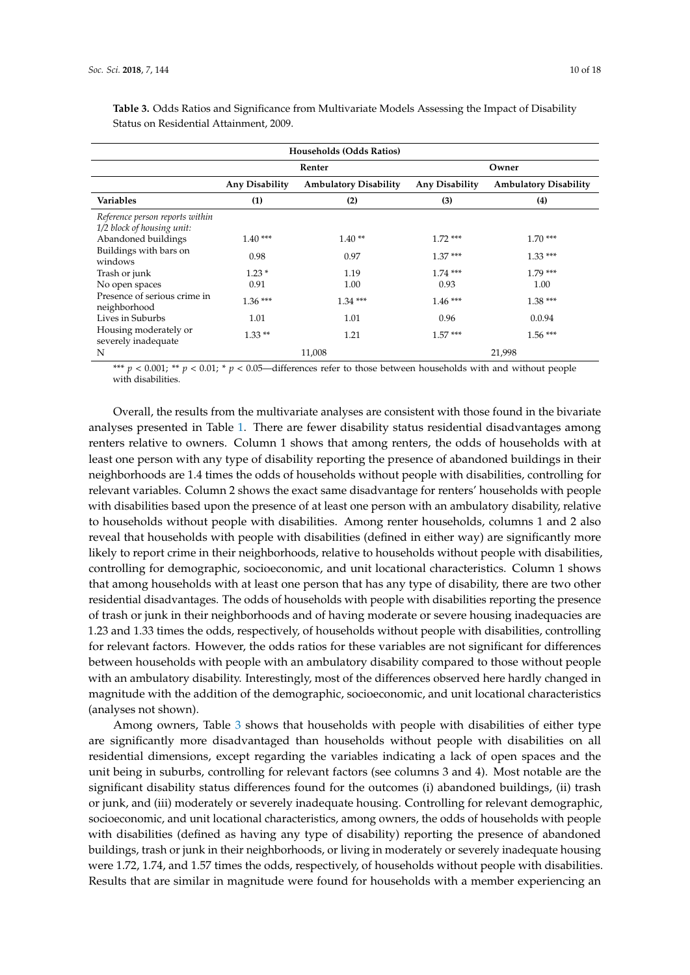| Households (Odds Ratios)                                      |                       |                              |                |                              |  |  |  |  |  |
|---------------------------------------------------------------|-----------------------|------------------------------|----------------|------------------------------|--|--|--|--|--|
|                                                               |                       | Renter                       |                | Owner                        |  |  |  |  |  |
|                                                               | <b>Any Disability</b> | <b>Ambulatory Disability</b> | Any Disability | <b>Ambulatory Disability</b> |  |  |  |  |  |
| <b>Variables</b>                                              | (1)                   | (2)                          | (3)            | (4)                          |  |  |  |  |  |
| Reference person reports within<br>1/2 block of housing unit: |                       |                              |                |                              |  |  |  |  |  |
| Abandoned buildings                                           | $1.40***$             | $1.40**$                     | $1.72***$      | $1.70***$                    |  |  |  |  |  |
| Buildings with bars on<br>windows                             | 0.98                  | 0.97                         | $1.37***$      | $1.33***$                    |  |  |  |  |  |
| Trash or junk                                                 | $1.23*$               | 1.19                         | $1.74***$      | $1.79***$                    |  |  |  |  |  |
| No open spaces                                                | 0.91                  | 1.00                         | 0.93           | 1.00                         |  |  |  |  |  |
| Presence of serious crime in<br>neighborhood                  | $1.36***$             | $1.34***$                    | $1.46***$      | $1.38***$                    |  |  |  |  |  |
| Lives in Suburbs                                              | 1.01                  | 1.01                         | 0.96           | 0.0.94                       |  |  |  |  |  |
| Housing moderately or<br>severely inadequate                  | $1.33**$              | 1.21                         | $1.57***$      | $1.56***$                    |  |  |  |  |  |
| N                                                             |                       | 11,008                       |                | 21,998                       |  |  |  |  |  |

<span id="page-9-0"></span>**Table 3.** Odds Ratios and Significance from Multivariate Models Assessing the Impact of Disability Status on Residential Attainment, 2009.

\*\*\*  $p < 0.001$ ; \*\*  $p < 0.01$ ; \*  $p < 0.05$ —differences refer to those between households with and without people with disabilities.

Overall, the results from the multivariate analyses are consistent with those found in the bivariate analyses presented in Table [1.](#page-6-0) There are fewer disability status residential disadvantages among renters relative to owners. Column 1 shows that among renters, the odds of households with at least one person with any type of disability reporting the presence of abandoned buildings in their neighborhoods are 1.4 times the odds of households without people with disabilities, controlling for relevant variables. Column 2 shows the exact same disadvantage for renters' households with people with disabilities based upon the presence of at least one person with an ambulatory disability, relative to households without people with disabilities. Among renter households, columns 1 and 2 also reveal that households with people with disabilities (defined in either way) are significantly more likely to report crime in their neighborhoods, relative to households without people with disabilities, controlling for demographic, socioeconomic, and unit locational characteristics. Column 1 shows that among households with at least one person that has any type of disability, there are two other residential disadvantages. The odds of households with people with disabilities reporting the presence of trash or junk in their neighborhoods and of having moderate or severe housing inadequacies are 1.23 and 1.33 times the odds, respectively, of households without people with disabilities, controlling for relevant factors. However, the odds ratios for these variables are not significant for differences between households with people with an ambulatory disability compared to those without people with an ambulatory disability. Interestingly, most of the differences observed here hardly changed in magnitude with the addition of the demographic, socioeconomic, and unit locational characteristics (analyses not shown).

Among owners, Table [3](#page-9-0) shows that households with people with disabilities of either type are significantly more disadvantaged than households without people with disabilities on all residential dimensions, except regarding the variables indicating a lack of open spaces and the unit being in suburbs, controlling for relevant factors (see columns 3 and 4). Most notable are the significant disability status differences found for the outcomes (i) abandoned buildings, (ii) trash or junk, and (iii) moderately or severely inadequate housing. Controlling for relevant demographic, socioeconomic, and unit locational characteristics, among owners, the odds of households with people with disabilities (defined as having any type of disability) reporting the presence of abandoned buildings, trash or junk in their neighborhoods, or living in moderately or severely inadequate housing were 1.72, 1.74, and 1.57 times the odds, respectively, of households without people with disabilities. Results that are similar in magnitude were found for households with a member experiencing an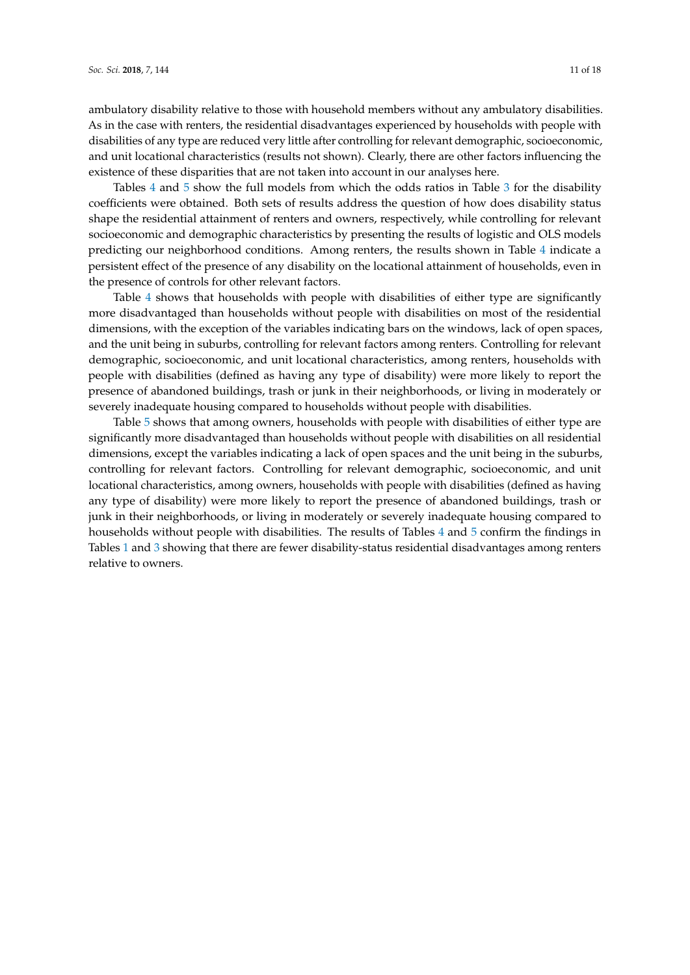ambulatory disability relative to those with household members without any ambulatory disabilities. As in the case with renters, the residential disadvantages experienced by households with people with disabilities of any type are reduced very little after controlling for relevant demographic, socioeconomic, and unit locational characteristics (results not shown). Clearly, there are other factors influencing the existence of these disparities that are not taken into account in our analyses here.

Tables [4](#page-11-0) and [5](#page-12-0) show the full models from which the odds ratios in Table [3](#page-9-0) for the disability coefficients were obtained. Both sets of results address the question of how does disability status shape the residential attainment of renters and owners, respectively, while controlling for relevant socioeconomic and demographic characteristics by presenting the results of logistic and OLS models predicting our neighborhood conditions. Among renters, the results shown in Table [4](#page-11-0) indicate a persistent effect of the presence of any disability on the locational attainment of households, even in the presence of controls for other relevant factors.

Table [4](#page-11-0) shows that households with people with disabilities of either type are significantly more disadvantaged than households without people with disabilities on most of the residential dimensions, with the exception of the variables indicating bars on the windows, lack of open spaces, and the unit being in suburbs, controlling for relevant factors among renters. Controlling for relevant demographic, socioeconomic, and unit locational characteristics, among renters, households with people with disabilities (defined as having any type of disability) were more likely to report the presence of abandoned buildings, trash or junk in their neighborhoods, or living in moderately or severely inadequate housing compared to households without people with disabilities.

Table [5](#page-12-0) shows that among owners, households with people with disabilities of either type are significantly more disadvantaged than households without people with disabilities on all residential dimensions, except the variables indicating a lack of open spaces and the unit being in the suburbs, controlling for relevant factors. Controlling for relevant demographic, socioeconomic, and unit locational characteristics, among owners, households with people with disabilities (defined as having any type of disability) were more likely to report the presence of abandoned buildings, trash or junk in their neighborhoods, or living in moderately or severely inadequate housing compared to households without people with disabilities. The results of Tables [4](#page-11-0) and [5](#page-12-0) confirm the findings in Tables [1](#page-6-0) and [3](#page-9-0) showing that there are fewer disability-status residential disadvantages among renters relative to owners.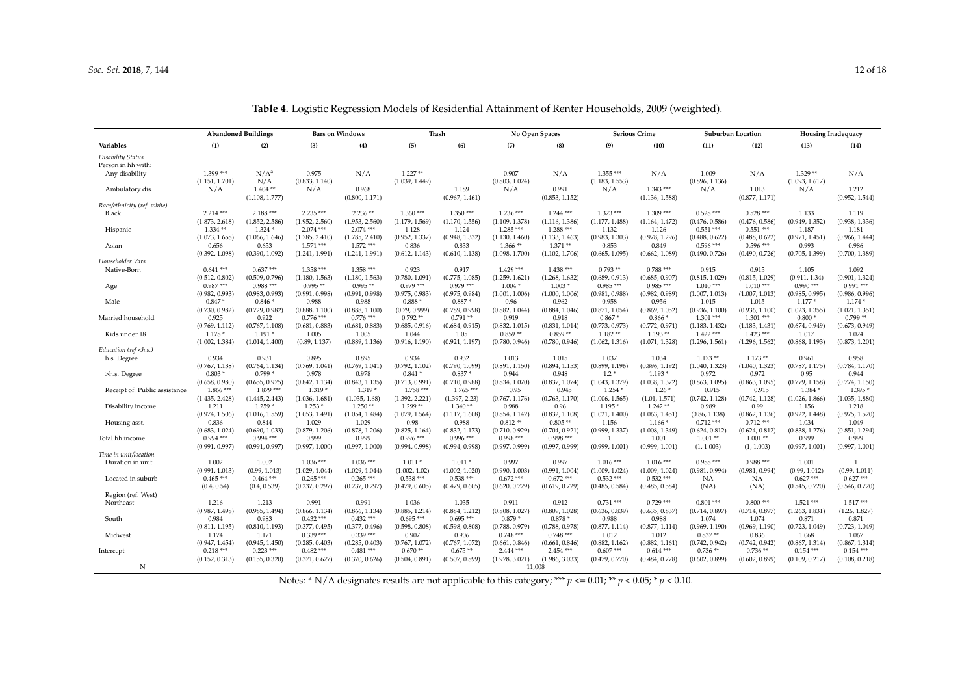<span id="page-11-0"></span>

| (5)<br>Variables<br>(6)<br>(9)<br>(1)<br>(2)<br>(3)<br>(4)<br>(7)<br>(8)<br>(10)<br>(11)<br>Disability Status<br>Person in hh with:<br>$1.399***$<br>$1.227**$<br>1.355 ***<br>$N/A^a$<br>0.975<br>N/A<br>0.907<br>N/A<br>N/A<br>1.009<br>Any disability<br>(1.151, 1.701)<br>N/A<br>(0.833, 1.140)<br>(0.803, 1.024)<br>(1.183, 1.553)<br>(0.896, 1.136)<br>(1.039, 1.449)<br>0.968<br>0.991<br>1.343***<br>N/A<br>$1.404**$<br>N/A<br>1.189<br>N/A<br>N/A<br>Ambulatory dis.<br>N/A<br>(0.800, 1.171)<br>(0.967, 1.461)<br>(0.853, 1.152)<br>(1.136, 1.588)<br>(1.108, 1.777)<br>Race/ethnicity (ref. white) | (12)<br>(13)<br>$1.329**$<br>N/A<br>(1.093, 1.617)<br>1.013<br>N/A<br>(0.877, 1.171)<br>$0.528***$<br>1.133<br>(0.949, 1.352)<br>(0.476, 0.586)<br>$0.551***$<br>1.187 | (14)<br>N/A<br>1.212<br>(0.952, 1.544)<br>1.119 |
|----------------------------------------------------------------------------------------------------------------------------------------------------------------------------------------------------------------------------------------------------------------------------------------------------------------------------------------------------------------------------------------------------------------------------------------------------------------------------------------------------------------------------------------------------------------------------------------------------------------|------------------------------------------------------------------------------------------------------------------------------------------------------------------------|-------------------------------------------------|
|                                                                                                                                                                                                                                                                                                                                                                                                                                                                                                                                                                                                                |                                                                                                                                                                        |                                                 |
|                                                                                                                                                                                                                                                                                                                                                                                                                                                                                                                                                                                                                |                                                                                                                                                                        |                                                 |
|                                                                                                                                                                                                                                                                                                                                                                                                                                                                                                                                                                                                                |                                                                                                                                                                        |                                                 |
|                                                                                                                                                                                                                                                                                                                                                                                                                                                                                                                                                                                                                |                                                                                                                                                                        |                                                 |
|                                                                                                                                                                                                                                                                                                                                                                                                                                                                                                                                                                                                                |                                                                                                                                                                        |                                                 |
|                                                                                                                                                                                                                                                                                                                                                                                                                                                                                                                                                                                                                |                                                                                                                                                                        |                                                 |
|                                                                                                                                                                                                                                                                                                                                                                                                                                                                                                                                                                                                                |                                                                                                                                                                        |                                                 |
|                                                                                                                                                                                                                                                                                                                                                                                                                                                                                                                                                                                                                |                                                                                                                                                                        |                                                 |
| $2.214***$<br>$2.188***$<br>$2.235***$<br>$2.236**$<br>$1.360***$<br>$1.350***$<br>$1.236***$<br>$1.244***$<br>$1.323***$<br>$1.309***$<br>$0.528***$<br>Black                                                                                                                                                                                                                                                                                                                                                                                                                                                 |                                                                                                                                                                        |                                                 |
| (1.873, 2.618)<br>(1.852, 2.586)<br>(1.952, 2.560)<br>(1.953, 2.560)<br>(1.177, 1.488)<br>(1.179, 1.569)<br>(1.170, 1.556)<br>(1.109, 1.378)<br>(1.116, 1.386)<br>(1.164, 1.472)<br>(0.476, 0.586)                                                                                                                                                                                                                                                                                                                                                                                                             |                                                                                                                                                                        | (0.938, 1.336)                                  |
| $1.334**$<br>1.324<br>$2.074$ ***<br>$2.074$ ***<br>$1.285***$<br>$1.288***$<br>1.132<br>$0.551***$<br>Hispanic<br>1.128<br>1.124<br>1.126                                                                                                                                                                                                                                                                                                                                                                                                                                                                     |                                                                                                                                                                        | 1.181                                           |
| (1.073, 1.658)<br>(1.066, 1.646)<br>(1.785, 2.410)<br>(1.785, 2.410)<br>(0.952, 1.337)<br>(0.948, 1.332)<br>(1.130, 1.460)<br>(0.983, 1.303)<br>(0.978, 1.296)<br>(1.133, 1.463)<br>(0.488, 0.622)                                                                                                                                                                                                                                                                                                                                                                                                             | (0.971, 1.451)<br>(0.488, 0.622)                                                                                                                                       | (0.966, 1.444)                                  |
| $1.571$ ***<br>$1.572$ ***<br>$0.596***$<br>0.656<br>0.653<br>0.836<br>0.833<br>$1.366**$<br>$1.371**$<br>0.853<br>0.849<br>Asian                                                                                                                                                                                                                                                                                                                                                                                                                                                                              | $0.596$ ***<br>0.993                                                                                                                                                   | 0.986                                           |
| (0.392, 1.098)<br>(0.390, 1.092)<br>(1.241, 1.991)<br>(1.241, 1.991)<br>(0.612, 1.143)<br>(0.610, 1.138)<br>(1.098, 1.700)<br>(1.102, 1.706)<br>(0.665, 1.095)<br>(0.662, 1.089)<br>(0.490, 0.726)                                                                                                                                                                                                                                                                                                                                                                                                             | (0.490, 0.726)<br>(0.705, 1.399)                                                                                                                                       | (0.700, 1.389)                                  |
| Householder Vars                                                                                                                                                                                                                                                                                                                                                                                                                                                                                                                                                                                               |                                                                                                                                                                        |                                                 |
| $0.637***$<br>$0.641***$<br>$1.358***$<br>$1.358***$<br>0.923<br>0.917<br>$1.429***$<br>$1.438***$<br>$0.793**$<br>$0.788***$<br>0.915<br>Native-Born                                                                                                                                                                                                                                                                                                                                                                                                                                                          | 0.915<br>1.105                                                                                                                                                         | 1.092                                           |
| (0.512, 0.802)<br>(0.509, 0.796)<br>(1.180, 1.563)<br>(1.180, 1.563)<br>(0.780, 1.091)<br>(0.775, 1.085)<br>(1.259, 1.621)<br>(1.268, 1.632)<br>(0.689, 0.913)<br>(0.685, 0.907)<br>(0.815, 1.029)                                                                                                                                                                                                                                                                                                                                                                                                             | (0.911, 1.34)<br>(0.815, 1.029)                                                                                                                                        | (0.901, 1.324)                                  |
| $0.987***$<br>$0.988***$<br>$0.995**$<br>$0.995**$<br>$0.979***$<br>$0.979***$<br>$1.004*$<br>$1.003*$<br>$0.985***$<br>$0.985***$<br>$1.010***$<br>Age                                                                                                                                                                                                                                                                                                                                                                                                                                                        | $0.990***$<br>$1.010***$                                                                                                                                               | $0.991***$                                      |
| (0.982, 0.993)<br>(0.983, 0.993)<br>(0.991, 0.998)<br>(0.991, 0.998)<br>(0.975, 0.983)<br>(0.975, 0.984)<br>(1.001, 1.006)<br>(1.000, 1.006)<br>(0.981, 0.988)<br>(0.982, 0.989)<br>(1.007, 1.013)                                                                                                                                                                                                                                                                                                                                                                                                             | (1.007, 1.013)<br>(0.985, 0.995)                                                                                                                                       | (0.986, 0.996)                                  |
| $0.847*$<br>0.988<br>0.988<br>$0.888*$<br>$0.887*$<br>0.958<br>0.956<br>Male<br>$0.846*$<br>0.96<br>0.962<br>1.015                                                                                                                                                                                                                                                                                                                                                                                                                                                                                             | $1.177*$<br>1.015                                                                                                                                                      | $1.174*$                                        |
| (0.730, 0.982)<br>(0.888, 1.100)<br>(0.888, 1.100)<br>(0.79, 0.999)<br>(0.789, 0.998)<br>(0.882, 1.044)<br>(0.884, 1.046)<br>(0.871, 1.054)<br>(0.869, 1.052)<br>(0.936, 1.100)<br>(0.729, 0.982)                                                                                                                                                                                                                                                                                                                                                                                                              | (0.936, 1.100)<br>(1.023, 1.355)                                                                                                                                       | (1.021, 1.351)                                  |
| 0.925<br>0.922<br>$0.776$ ***<br>$0.776$ ***<br>$0.792**$<br>$0.791**$<br>0.919<br>$0.867*$<br>$1.301***$<br>Married household<br>0.918<br>$0.866*$                                                                                                                                                                                                                                                                                                                                                                                                                                                            | $1.301***$<br>$0.800*$                                                                                                                                                 | $0.799**$                                       |
| (0.773, 0.973)<br>(0.769, 1.112)<br>(0.767, 1.108)<br>(0.681, 0.883)<br>(0.681, 0.883)<br>(0.685, 0.916)<br>(0.684, 0.915)<br>(0.832, 1.015)<br>(0.831, 1.014)<br>(0.772, 0.971)<br>(1.183, 1.432)                                                                                                                                                                                                                                                                                                                                                                                                             | (1.183, 1.431)<br>(0.674, 0.949)                                                                                                                                       | (0.673, 0.949)                                  |
| $1.422***$<br>$1.178*$<br>$1.191*$<br>1.005<br>1.05<br>$0.859**$<br>$0.859**$<br>$1.182**$<br>$1.193**$<br>Kids under 18<br>1.005<br>1.044                                                                                                                                                                                                                                                                                                                                                                                                                                                                     | $1.423***$<br>1.017                                                                                                                                                    | 1.024                                           |
| (0.89, 1.137)<br>(0.921, 1.197)<br>(1.062, 1.316)<br>(1.002, 1.384)<br>(1.014, 1.400)<br>(0.889, 1.136)<br>(0.916, 1.190)<br>(0.780, 0.946)<br>(0.780, 0.946)<br>(1.071, 1.328)<br>(1.296, 1.561)                                                                                                                                                                                                                                                                                                                                                                                                              | (1.296, 1.562)<br>(0.868, 1.193)                                                                                                                                       | (0.873, 1.201)                                  |
| Education (ref <h.s.)< td=""><td></td><td></td></h.s.)<>                                                                                                                                                                                                                                                                                                                                                                                                                                                                                                                                                       |                                                                                                                                                                        |                                                 |
| $1.173**$<br>0.934<br>0.931<br>0.895<br>0.895<br>0.934<br>0.932<br>1.013<br>1.037<br>1.034<br>1.015<br>h.s. Degree                                                                                                                                                                                                                                                                                                                                                                                                                                                                                             | $1.173**$<br>0.961                                                                                                                                                     | 0.958                                           |
| (0.767, 1.138)<br>(0.764, 1.134)<br>(0.769, 1.041)<br>(0.769, 1.041)<br>(0.792, 1.102)<br>(0.790, 1.099)<br>(0.891, 1.150)<br>(0.894, 1.153)<br>(0.899, 1.196)<br>(0.896, 1.192)<br>(1.040, 1.323)                                                                                                                                                                                                                                                                                                                                                                                                             | (1.040, 1.323)<br>(0.787, 1.175)                                                                                                                                       | (0.784, 1.170)                                  |
| $0.803*$<br>$0.837*$<br>$0.799*$<br>0.978<br>0.978<br>$0.841*$<br>0.944<br>0.948<br>$1.2*$<br>$1.193*$<br>0.972<br>>h.s. Degree                                                                                                                                                                                                                                                                                                                                                                                                                                                                                | 0.972<br>0.95                                                                                                                                                          | 0.944                                           |
| (0.658, 0.980)<br>(0.655, 0.975)<br>(0.842, 1.134)<br>(0.843, 1.135)<br>(0.713, 0.991)<br>(0.710, 0.988)<br>(0.834, 1.070)<br>(0.837, 1.074)<br>(1.043, 1.379)<br>(1.038, 1.372)<br>(0.863, 1.095)                                                                                                                                                                                                                                                                                                                                                                                                             | (0.863, 1.095)<br>(0.779, 1.158)                                                                                                                                       | (0.774, 1.150)                                  |
| $1.866***$<br>$1.879***$<br>$1.319*$<br>$1.319*$<br>1.758 ***<br>$1.765***$<br>0.95<br>0.945<br>$1.254*$<br>$1.26*$<br>0.915<br>Receipt of: Public assistance                                                                                                                                                                                                                                                                                                                                                                                                                                                  | 0.915<br>1.384 *                                                                                                                                                       | 1.395 *                                         |
| (1.435, 2.428)<br>(1.445, 2.443)<br>(1.036, 1.681)<br>(1.035, 1.68)<br>(1.392, 2.221)<br>(1.397, 2.23)<br>(0.767, 1.176)<br>(0.763, 1.170)<br>(1.006, 1.565)<br>(1.01, 1.571)<br>(0.742, 1.128)                                                                                                                                                                                                                                                                                                                                                                                                                | (0.742, 1.128)<br>(1.026, 1.866)                                                                                                                                       | (1.035, 1.880)                                  |
| $1.299**$<br>1.259<br>$1.253*$<br>$1.250**$<br>$1.340**$<br>0.988<br>$1.195*$<br>$1.242**$<br>Disability income<br>1.211<br>0.96<br>0.989                                                                                                                                                                                                                                                                                                                                                                                                                                                                      | 0.99<br>1.156                                                                                                                                                          | 1.218                                           |
| (1.053, 1.491)<br>(1.054, 1.484)<br>(1.117, 1.608)<br>(1.021, 1.400)<br>(1.063, 1.451)<br>(0.974, 1.506)<br>(1.016, 1.559)<br>(1.079, 1.564)<br>(0.854, 1.142)<br>(0.832, 1.108)<br>(0.86, 1.138)                                                                                                                                                                                                                                                                                                                                                                                                              | (0.862, 1.136)<br>(0.922, 1.448)                                                                                                                                       | (0.975, 1.520)                                  |
| 0.836<br>0.844<br>1.029<br>1.029<br>0.98<br>0.988<br>$0.812**$<br>$0.805**$<br>$1.166*$<br>$0.712***$<br>Housing asst.<br>1.156                                                                                                                                                                                                                                                                                                                                                                                                                                                                                | $0.712***$<br>1.034                                                                                                                                                    | 1.049                                           |
| (0.879, 1.206)<br>(0.683, 1.024)<br>(0.690, 1.033)<br>(0.878, 1.206)<br>(0.825, 1.164)<br>(0.832, 1.173)<br>(0.710, 0.929)<br>(0.704, 0.921)<br>(0.999, 1.337)<br>(1.008, 1.349)<br>(0.624, 0.812)                                                                                                                                                                                                                                                                                                                                                                                                             | (0.624, 0.812)<br>(0.838, 1.276)                                                                                                                                       | (0.851, 1.294)                                  |
| $0.994$ ***<br>$0.994***$<br>0.999<br>$0.996***$<br>$0.996***$<br>$0.998***$<br>0.999<br>$0.998***$<br>1.001<br>$1.001**$<br>Total hh income<br>$\mathbf{1}$                                                                                                                                                                                                                                                                                                                                                                                                                                                   | 0.999<br>$1.001**$                                                                                                                                                     | 0.999                                           |
| (0.991, 0.997)<br>(0.991, 0.997)<br>(0.997, 1.000)<br>(0.997, 1.000)<br>(0.994, 0.998)<br>(0.994, 0.998)<br>(0.997, 0.999)<br>(0.997, 0.999)<br>(0.999, 1.001)<br>(0.999, 1.001)<br>(1, 1.003)                                                                                                                                                                                                                                                                                                                                                                                                                 | (0.997, 1.001)<br>(1, 1.003)                                                                                                                                           | (0.997, 1.001)                                  |
| Time in unit/location                                                                                                                                                                                                                                                                                                                                                                                                                                                                                                                                                                                          |                                                                                                                                                                        |                                                 |
| $1.036***$<br>$1.036***$<br>$1.016***$<br>$1.016***$<br>$0.988***$<br>1.002<br>1.002<br>$1.011*$<br>$1.011*$<br>0.997<br>0.997<br>Duration in unit                                                                                                                                                                                                                                                                                                                                                                                                                                                             | $0.988***$<br>1.001                                                                                                                                                    | $\mathbf{1}$                                    |
| (0.991, 1.013)<br>(0.99, 1.013)<br>(1.029, 1.044)<br>(1.002, 1.02)<br>(0.990, 1.003)<br>(0.991, 1.004)<br>(1.009, 1.024)<br>(0.981, 0.994)<br>(1.029, 1.044)<br>(1.002, 1.020)<br>(1.009, 1.024)                                                                                                                                                                                                                                                                                                                                                                                                               | (0.981, 0.994)<br>(0.99, 1.012)                                                                                                                                        | (0.99, 1.011)                                   |
| $0.465***$<br>$0.464$ ***<br>$0.265***$<br>$0.265***$<br>$0.538***$<br>$0.538***$<br>$0.672$ ***<br>$0.672***$<br>$0.532***$<br>$0.532***$<br>Located in suburb<br><b>NA</b>                                                                                                                                                                                                                                                                                                                                                                                                                                   | $0.627***$<br><b>NA</b>                                                                                                                                                | $0.627***$                                      |
| (0.4, 0.54)<br>(0.4, 0.539)<br>(0.237, 0.297)<br>(0.237, 0.297)<br>(0.479, 0.605)<br>(0.479, 0.605)<br>(0.620, 0.729)<br>(0.619, 0.729)<br>(0.485, 0.584)<br>(0.485, 0.584)<br>(NA)                                                                                                                                                                                                                                                                                                                                                                                                                            | (0.545, 0.720)<br>(NA)                                                                                                                                                 | (0.546, 0.720)                                  |
| Region (ref. West)                                                                                                                                                                                                                                                                                                                                                                                                                                                                                                                                                                                             |                                                                                                                                                                        |                                                 |
| $0.731***$<br>$0.729***$<br>$0.801***$<br>Northeast<br>1.213<br>0.991<br>0.991<br>1.035<br>0.911<br>0.912<br>1.216<br>1.036                                                                                                                                                                                                                                                                                                                                                                                                                                                                                    | $0.800***$<br>$1.521***$                                                                                                                                               | $1.517***$                                      |
| (0.987, 1.498)<br>(0.985, 1.494)<br>(0.885, 1.214)<br>(0.884, 1.212)<br>(0.808, 1.027)<br>(0.809, 1.028)<br>(0.635, 0.837)<br>(0.714, 0.897)<br>(0.866, 1.134)<br>(0.866, 1.134)<br>(0.636, 0.839)                                                                                                                                                                                                                                                                                                                                                                                                             | (1.263, 1.831)<br>(0.714, 0.897)                                                                                                                                       | (1.26, 1.827)                                   |
| 0.984<br>0.983<br>$0.432***$<br>$0.432***$<br>$0.695***$<br>$0.695***$<br>$0.879*$<br>0.988<br>0.988<br>South<br>$0.878*$<br>1.074                                                                                                                                                                                                                                                                                                                                                                                                                                                                             | 1.074<br>0.871                                                                                                                                                         | 0.871                                           |
| (0.810, 1.193)<br>(0.377, 0.495)<br>(0.377, 0.496)<br>(0.598, 0.808)<br>(0.877, 1.114)<br>(0.877, 1.114)<br>(0.811, 1.195)<br>(0.598, 0.808)<br>(0.788, 0.979)<br>(0.788, 0.978)<br>(0.969, 1.190)                                                                                                                                                                                                                                                                                                                                                                                                             | (0.969, 1.190)<br>(0.723, 1.049)                                                                                                                                       | (0.723, 1.049)                                  |
| $0.339***$<br>Midwest<br>1.174<br>1.171<br>$0.339***$<br>0.907<br>0.906<br>$0.748***$<br>$0.748***$<br>1.012<br>1.012<br>$0.837**$                                                                                                                                                                                                                                                                                                                                                                                                                                                                             | 0.836<br>1.068                                                                                                                                                         | 1.067                                           |
| (0.882, 1.162)<br>(0.947, 1.454)<br>(0.945, 1.450)<br>(0.285, 0.403)<br>(0.285, 0.403)<br>(0.767, 1.072)<br>(0.767, 1.072)<br>(0.661, 0.846)<br>(0.661, 0.846)<br>(0.882, 1.161)<br>(0.742, 0.942)                                                                                                                                                                                                                                                                                                                                                                                                             | (0.742, 0.942)<br>(0.867, 1.314)                                                                                                                                       | (0.867, 1.314)                                  |
| $0.218***$<br>$0.223***$<br>$0.607***$<br>$0.482$ ***<br>$0.481***$<br>$0.670**$<br>$0.675**$<br>$2.444***$<br>$2.454***$<br>$0.614***$<br>$0.736**$<br>Intercept                                                                                                                                                                                                                                                                                                                                                                                                                                              | $0.736**$<br>$0.154***$                                                                                                                                                | $0.154***$                                      |
| (0.507, 0.899)<br>(1.978, 3.021)<br>(0.152, 0.313)<br>(0.155, 0.320)<br>(0.371, 0.627)<br>(0.370, 0.626)<br>(0.504, 0.891)<br>(1.986, 3.033)<br>(0.479, 0.770)<br>(0.484, 0.778)<br>(0.602, 0.899)                                                                                                                                                                                                                                                                                                                                                                                                             | (0.602, 0.899)<br>(0.109, 0.217)                                                                                                                                       | (0.108, 0.218)                                  |
| N<br>11,008                                                                                                                                                                                                                                                                                                                                                                                                                                                                                                                                                                                                    |                                                                                                                                                                        |                                                 |

**Table 4.** Logistic Regression Models of Residential Attainment of Renter Households, 2009 (weighted).

Notes: <sup>a</sup> N/A designates results are not applicable to this category; \*\*\*  $p \le 0.01$ ; \*\*  $p < 0.05$ ; \*  $p < 0.10$ .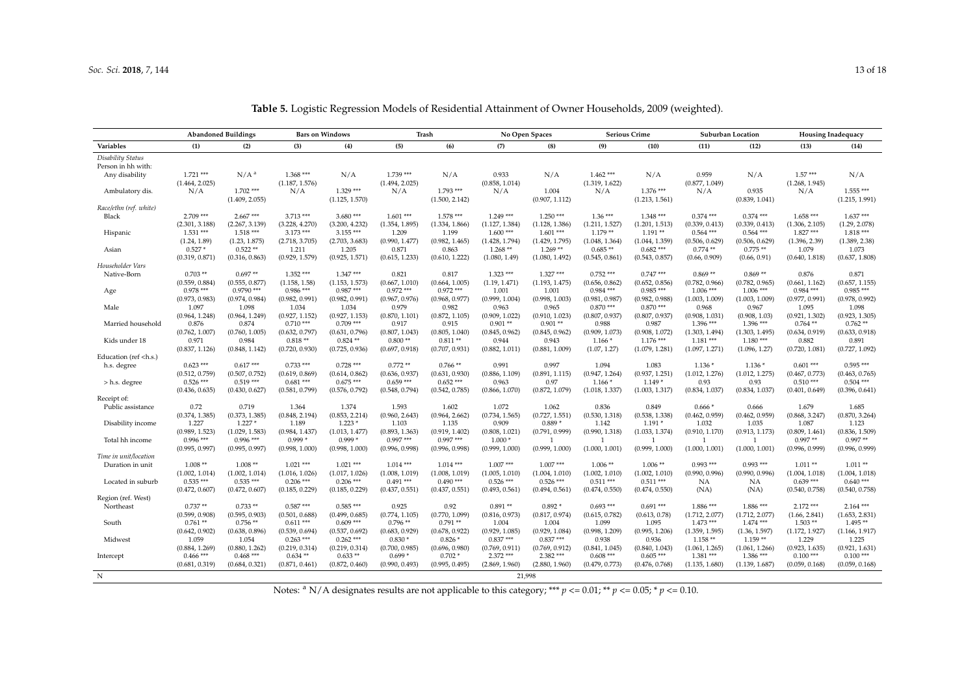|                                                                                                                                                                      |                         | <b>Abandoned Buildings</b>    | <b>Bars on Windows</b>       |                               | <b>Trash</b>               |                              | No Open Spaces               |                              |                         | <b>Serious Crime</b>        | <b>Suburban Location</b>    |                             | <b>Housing Inadequacy</b> |                              |
|----------------------------------------------------------------------------------------------------------------------------------------------------------------------|-------------------------|-------------------------------|------------------------------|-------------------------------|----------------------------|------------------------------|------------------------------|------------------------------|-------------------------|-----------------------------|-----------------------------|-----------------------------|---------------------------|------------------------------|
| Variables                                                                                                                                                            | (1)                     | (2)                           | (3)                          | (4)                           | (5)                        | (6)                          | (7)                          | (8)                          | (9)                     | (10)                        | (11)                        | (12)                        | (13)                      | (14)                         |
| Disability Status                                                                                                                                                    |                         |                               |                              |                               |                            |                              |                              |                              |                         |                             |                             |                             |                           |                              |
| Person in hh with:                                                                                                                                                   |                         |                               |                              |                               |                            |                              |                              |                              |                         |                             |                             |                             |                           |                              |
| Any disability                                                                                                                                                       | $1.721***$              | N/A <sup>a</sup>              | 1.368 ***                    | N/A                           | 1.739 ***                  | N/A                          | 0.933                        | N/A                          | $1.462***$              | N/A                         | 0.959                       | N/A                         | $1.57***$                 | N/A                          |
|                                                                                                                                                                      | (1.464, 2.025)          |                               | (1.187, 1.576)               |                               | (1.494, 2.025)             |                              | (0.858, 1.014)               |                              | (1.319, 1.622)          |                             | (0.877, 1.049)              |                             | (1.268, 1.945)            |                              |
| Ambulatory dis.                                                                                                                                                      | N/A                     | $1.702$ ***<br>(1.409, 2.055) | N/A                          | $1.329***$<br>(1.125, 1.570)  | N/A                        | $1.793***$<br>(1.500, 2.142) | N/A                          | 1.004<br>(0.907, 1.112)      | N/A                     | 1.376 ***<br>(1.213, 1.561) | N/A                         | 0.935<br>(0.839, 1.041)     | N/A                       | $1.555***$<br>(1.215, 1.991) |
| Race/ethn (ref. white)                                                                                                                                               |                         |                               |                              |                               |                            |                              |                              |                              |                         |                             |                             |                             |                           |                              |
| Black                                                                                                                                                                | 2.709 ***               | $2.667***$                    | 3.713***                     | $3.680***$                    | $1.601***$                 | 1.578 ***                    | $1.249***$                   | $1.250***$                   | $1.36***$               | $1.348***$                  | $0.374***$                  | $0.374$ ***                 | $1.658***$                | $1.637***$                   |
|                                                                                                                                                                      | (2.301, 3.188)          | (2.267, 3.139)                | (3.228, 4.270)               | (3.200, 4.232)                | (1.354, 1.895)             | (1.334, 1.866)               | (1.127, 1.384)               | (1.128, 1.386)               | (1.211, 1.527)          | (1.201, 1.513)              | (0.339, 0.413)              | (0.339, 0.413)              | (1.306, 2.105)            | (1.29, 2.078)                |
| Hispanic                                                                                                                                                             | 1.531 ***               | $1.518***$                    | $3.173$ ***                  | $3.155***$                    | 1.209                      | 1.199                        | $1.600***$                   | $1.601***$                   | $1.179**$               | $1.191**$                   | $0.564$ ***                 | $0.564***$                  | $1.827***$                | $1.818***$                   |
|                                                                                                                                                                      | (1.24, 1.89)            | (1.23, 1.875)                 | (2.718, 3.705)               | (2.703, 3.683)                | (0.990, 1.477)             | (0.982, 1.465)               | (1.428, 1.794)               | (1.429, 1.795)               | (1.048, 1.364)          | (1.044, 1.359)              | (0.506, 0.629)              | (0.506, 0.629)              | (1.396, 2.39)             | (1.389, 2.38)                |
| Asian                                                                                                                                                                | $0.527*$                | $0.522**$                     | 1.211                        | 1.205                         | 0.871                      | 0.863                        | $1.268**$                    | $1.269**$                    | $0.685**$               | $0.682***$                  | $0.774**$                   | $0.775**$                   | 1.079                     | 1.073                        |
| Householder Vars                                                                                                                                                     | (0.319, 0.871)          | (0.316, 0.863)                | (0.929, 1.579)               | (0.925, 1.571)                | (0.615, 1.233)             | (0.610, 1.222)               | (1.080, 1.49)                | (1.080, 1.492)               | (0.545, 0.861)          | (0.543, 0.857)              | (0.66, 0.909)               | (0.66, 0.91)                | (0.640, 1.818)            | (0.637, 1.808)               |
| Native-Born                                                                                                                                                          | $0.703**$               | $0.697**$                     | $1.352***$                   | $1.347***$                    | 0.821                      | 0.817                        | $1.323***$                   | $1.327***$                   | $0.752***$              | $0.747***$                  | $0.869**$                   | $0.869**$                   | 0.876                     | 0.871                        |
|                                                                                                                                                                      | (0.559, 0.884)          | (0.555, 0.877)                | (1.158, 1.58)                | (1.153, 1.573)                | (0.667, 1.010)             | (0.664, 1.005)               | (1.19, 1.471)                | (1.193, 1.475)               | (0.656, 0.862)          | (0.652, 0.856)              | (0.782, 0.966)              | (0.782, 0.965)              | (0.661, 1.162)            | (0.657, 1.155)               |
| Age                                                                                                                                                                  | $0.978***$              | $0.9790$ ***                  | $0.986***$                   | $0.987***$                    | $0.972***$                 | $0.972$ ***                  | 1.001                        | 1.001                        | $0.984***$              | $0.985***$                  | $1.006***$                  | $1.006***$                  | $0.984***$                | $0.985***$                   |
|                                                                                                                                                                      | (0.973, 0.983)          | (0.974, 0.984)                | (0.982, 0.991)               | (0.982, 0.991)                | (0.967, 0.976)             | (0.968, 0.977)               | (0.999, 1.004)               | (0.998, 1.003)               | (0.981, 0.987)          | (0.982, 0.988)              | (1.003, 1.009)              | (1.003, 1.009)              | (0.977, 0.991)            | (0.978, 0.992)               |
| Male                                                                                                                                                                 | 1.097                   | 1.098                         | 1.034                        | 1.034                         | 0.979                      | 0.982                        | 0.963                        | 0.965                        | $0.870***$              | $0.870***$                  | 0.968                       | 0.967                       | 1.095                     | 1.098                        |
|                                                                                                                                                                      | (0.964, 1.248)          | (0.964, 1.249)                | (0.927, 1.152)               | (0.927, 1.153)                | (0.870, 1.101)             | (0.872, 1.105)               | (0.909, 1.022)               | (0.910, 1.023)               | (0.807, 0.937)          | (0.807, 0.937)              | (0.908, 1.031)              | (0.908, 1.03)               | (0.921, 1.302)            | (0.923, 1.305)               |
| Married household                                                                                                                                                    | 0.876                   | 0.874                         | $0.710***$                   | $0.709***$                    | 0.917                      | 0.915                        | $0.901**$                    | $0.901**$                    | 0.988                   | 0.987                       | $1.396***$                  | $1.396***$                  | $0.764$ **                | $0.762**$                    |
|                                                                                                                                                                      | (0.762, 1.007)          | (0.760, 1.005)                | (0.632, 0.797)               | (0.631, 0.796)                | (0.807, 1.043)             | (0.805, 1.040)               | (0.845, 0.962)               | (0.845, 0.962)               | (0.909, 1.073)          | (0.908, 1.072)              | (1.303, 1.494)              | (1.303, 1.495)              | (0.634, 0.919)            | (0.633, 0.918)               |
| Kids under 18                                                                                                                                                        | 0.971                   | 0.984                         | $0.818**$                    | $0.824**$                     | $0.800**$                  | $0.811**$                    | 0.944                        | 0.943                        | $1.166*$                | $1.176***$                  | $1.181***$                  | $1.180***$                  | 0.882                     | 0.891                        |
|                                                                                                                                                                      | (0.837, 1.126)          | (0.848, 1.142)                | (0.720, 0.930)               | (0.725, 0.936)                | (0.697, 0.918)             | (0.707, 0.931)               | (0.882, 1.011)               | (0.881, 1.009)               | (1.07, 1.27)            | (1.079, 1.281)              | (1.097, 1.271)              | (1.096, 1.27)               | (0.720, 1.081)            | (0.727, 1.092)               |
| Education (ref <h.s.)< td=""><td></td><td></td><td></td><td></td><td></td><td></td><td></td><td></td><td></td><td></td><td></td><td></td><td></td><td></td></h.s.)<> |                         |                               |                              |                               |                            |                              |                              |                              |                         |                             |                             |                             |                           |                              |
| h.s. degree                                                                                                                                                          | $0.623***$              | $0.617***$                    | $0.733***$                   | $0.728***$                    | $0.772**$                  | $0.766$ **                   | 0.991                        | 0.997                        | 1.094                   | 1.083                       | $1.136*$                    | $1.136*$                    | $0.601***$                | $0.595***$                   |
|                                                                                                                                                                      | (0.512, 0.759)          | (0.507, 0.752)                | (0.619, 0.869)               | (0.614, 0.862)                | (0.636, 0.937)             | (0.631, 0.930)               | (0.886, 1.109)               | (0.891, 1.115)               | (0.947, 1.264)          | (0.937, 1.251)              | (1.012, 1.276)              | (1.012, 1.275)              | (0.467, 0.773)            | (0.463, 0.765)               |
| $>$ h.s. degree                                                                                                                                                      | $0.526$ ***             | $0.519***$                    | $0.681***$                   | $0.675***$                    | $0.659***$                 | $0.652***$                   | 0.963                        | 0.97                         | $1.166*$                | $1.149*$                    | 0.93                        | 0.93                        | $0.510***$                | $0.504***$                   |
|                                                                                                                                                                      | (0.436, 0.635)          | (0.430, 0.627)                | (0.581, 0.799)               | (0.576, 0.792)                | (0.548, 0.794)             | (0.542, 0.785)               | (0.866, 1.070)               | (0.872, 1.079)               | (1.018, 1.337)          | (1.003, 1.317)              | (0.834, 1.037)              | (0.834, 1.037)              | (0.401, 0.649)            | (0.396, 0.641)               |
| Receipt of:<br>Public assistance                                                                                                                                     | 0.72                    | 0.719                         | 1.364                        | 1.374                         | 1.593                      | 1.602                        | 1.072                        | 1.062                        | 0.836                   | 0.849                       | $0.666*$                    | 0.666                       | 1.679                     | 1.685                        |
|                                                                                                                                                                      | (0.374, 1.385)          | (0.373, 1.385)                | (0.848, 2.194)               | (0.853, 2.214)                | (0.960, 2.643)             | (0.964, 2.662)               | (0.734, 1.565)               | (0.727, 1.551)               | (0.530, 1.318)          | (0.538, 1.338)              | (0.462, 0.959)              | (0.462, 0.959)              | (0.868, 3.247)            | (0.870, 3.264)               |
| Disability income                                                                                                                                                    | 1.227                   | $1.227*$                      | 1.189                        | $1.223*$                      | 1.103                      | 1.135                        | 0.909                        | $0.889*$                     | 1.142                   | $1.191*$                    | 1.032                       | 1.035                       | 1.087                     | 1.123                        |
|                                                                                                                                                                      | (0.989, 1.523)          | (1.029, 1.583)                | (0.984, 1.437)               | (1.013, 1.477)                | (0.893, 1.363)             | (0.919, 1.402)               | (0.808, 1.021)               | (0.791, 0.999)               | (0.990, 1.318)          | (1.033, 1.374)              | (0.910, 1.170)              | (0.913, 1.173)              | (0.809, 1.461)            | (0.836, 1.509)               |
| Total hh income                                                                                                                                                      | $0.996***$              | $0.996***$                    | $0.999*$                     | $0.999*$                      | $0.997***$                 | $0.997***$                   | $1.000*$                     |                              |                         | -1                          | -1                          |                             | $0.997**$                 | $0.997**$                    |
|                                                                                                                                                                      | (0.995, 0.997)          | (0.995, 0.997)                | (0.998, 1.000)               | (0.998, 1.000)                | (0.996, 0.998)             | (0.996, 0.998)               | (0.999, 1.000)               | (0.999, 1.000)               | (1.000, 1.001)          | (0.999, 1.000)              | (1.000, 1.001)              | (1.000, 1.001)              | (0.996, 0.999)            | (0.996, 0.999)               |
| Time in unit/location                                                                                                                                                |                         |                               |                              |                               |                            |                              |                              |                              |                         |                             |                             |                             |                           |                              |
| Duration in unit                                                                                                                                                     | $1.008**$               | $1.008**$                     | $1.021***$                   | $1.021***$                    | $1.014***$                 | $1.014***$                   | $1.007***$                   | $1.007***$                   | $1.006**$               | $1.006**$                   | $0.993***$                  | $0.993***$                  | $1.011**$                 | $1.011**$                    |
|                                                                                                                                                                      | (1.002, 1.014)          | (1.002, 1.014)                | (1.016, 1.026)               | (1.017, 1.026)                | (1.008, 1.019)             | (1.008, 1.019)               | (1.005, 1.010)               | (1.004, 1.010)               | (1.002, 1.010)          | (1.002, 1.010)              | (0.990, 0.996)              | (0.990, 0.996)              | (1.004, 1.018)            | (1.004, 1.018)               |
| Located in suburb                                                                                                                                                    | $0.535***$              | $0.535***$                    | $0.206$ ***                  | $0.206$ ***                   | $0.491***$                 | $0.490***$                   | $0.526$ ***                  | $0.526***$                   | $0.511***$              | $0.511***$                  | <b>NA</b>                   | NA                          | $0.639***$                | $0.640***$                   |
|                                                                                                                                                                      | (0.472, 0.607)          | (0.472, 0.607)                | (0.185, 0.229)               | (0.185, 0.229)                | (0.437, 0.551)             | (0.437, 0.551)               | (0.493, 0.561)               | (0.494, 0.561)               | (0.474, 0.550)          | (0.474, 0.550)              | (NA)                        | (NA)                        | (0.540, 0.758)            | (0.540, 0.758)               |
| Region (ref. West)                                                                                                                                                   |                         |                               |                              |                               |                            |                              |                              |                              |                         |                             |                             |                             |                           |                              |
| Northeast                                                                                                                                                            | $0.737**$               | $0.733**$                     | $0.587***$                   | $0.585***$                    | 0.925                      | 0.92                         | $0.891**$                    | $0.892*$                     | $0.693***$              | $0.691***$                  | 1.886***                    | 1.886 ***                   | $2.172***$                | $2.164***$                   |
|                                                                                                                                                                      | (0.599, 0.908)          | (0.595, 0.903)                | (0.501, 0.688)               | (0.499, 0.685)                | (0.774, 1.105)             | (0.770, 1.099)               | (0.816, 0.973)               | (0.817, 0.974)               | (0.615, 0.782)          | (0.613, 0.78)               | (1.712, 2.077)              | (1.712, 2.077)              | (1.66, 2.841)             | (1.653, 2.831)               |
| South                                                                                                                                                                | $0.761**$               | $0.756**$                     | $0.611***$                   | $0.609***$                    | $0.796**$                  | $0.791**$                    | 1.004                        | 1.004                        | 1.099                   | 1.095                       | $1.473***$                  | $1.474$ ***                 | $1.503**$                 | $1.495**$                    |
|                                                                                                                                                                      | (0.642, 0.902)          | (0.638, 0.896)                | (0.539, 0.694)<br>$0.263***$ | (0.537, 0.692)<br>$0.262$ *** | (0.683, 0.929)             | (0.678, 0.922)               | (0.929, 1.085)<br>$0.837***$ | (0.929, 1.084)<br>$0.837***$ | (0.998, 1.209)          | (0.995, 1.206)              | (1.359, 1.595)<br>$1.158**$ | (1.36, 1.597)               | (1.172, 1.927)            | (1.166, 1.917)               |
| Midwest                                                                                                                                                              | 1.059<br>(0.884, 1.269) | 1.054<br>(0.880, 1.262)       | (0.219, 0.314)               | (0.219, 0.314)                | $0.830*$<br>(0.700, 0.985) | $0.826*$<br>(0.696, 0.980)   | (0.769, 0.911)               | (0.769, 0.912)               | 0.938<br>(0.841, 1.045) | 0.936<br>(0.840, 1.043)     | (1.061, 1.265)              | $1.159**$<br>(1.061, 1.266) | 1.229<br>(0.923, 1.635)   | 1.225<br>(0.921, 1.631)      |
| Intercept                                                                                                                                                            | $0.466$ ***             | $0.468***$                    | $0.634**$                    | $0.633**$                     | $0.699*$                   | $0.702*$                     | $2.372***$                   | 2.382***                     | $0.608***$              | $0.605***$                  | $1.381***$                  | $1.386***$                  | $0.100***$                | $0.100***$                   |
|                                                                                                                                                                      | (0.681, 0.319)          | (0.684, 0.321)                | (0.871, 0.461)               | (0.872, 0.460)                | (0.990, 0.493)             | (0.995, 0.495)               | (2.869, 1.960)               | (2.880, 1.960)               | (0.479, 0.773)          | (0.476, 0.768)              | (1.135, 1.680)              | (1.139, 1.687)              | (0.059, 0.168)            | (0.059, 0.168)               |
|                                                                                                                                                                      |                         |                               |                              |                               |                            |                              |                              |                              |                         |                             |                             |                             |                           |                              |

Notes: <sup>a</sup> N/A designates results are not applicable to this category; \*\*\* *p* <= 0.01; \*\* *p* <= 0.05; \* *p* <= 0.10.

<span id="page-12-0"></span>N 21,998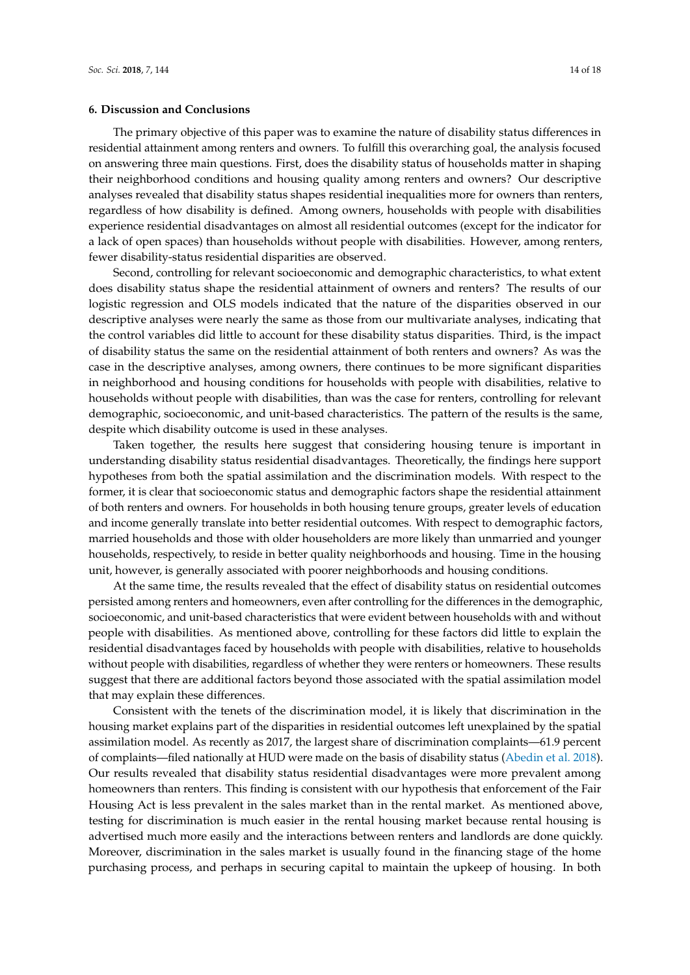#### **6. Discussion and Conclusions**

The primary objective of this paper was to examine the nature of disability status differences in residential attainment among renters and owners. To fulfill this overarching goal, the analysis focused on answering three main questions. First, does the disability status of households matter in shaping their neighborhood conditions and housing quality among renters and owners? Our descriptive analyses revealed that disability status shapes residential inequalities more for owners than renters, regardless of how disability is defined. Among owners, households with people with disabilities experience residential disadvantages on almost all residential outcomes (except for the indicator for a lack of open spaces) than households without people with disabilities. However, among renters, fewer disability-status residential disparities are observed.

Second, controlling for relevant socioeconomic and demographic characteristics, to what extent does disability status shape the residential attainment of owners and renters? The results of our logistic regression and OLS models indicated that the nature of the disparities observed in our descriptive analyses were nearly the same as those from our multivariate analyses, indicating that the control variables did little to account for these disability status disparities. Third, is the impact of disability status the same on the residential attainment of both renters and owners? As was the case in the descriptive analyses, among owners, there continues to be more significant disparities in neighborhood and housing conditions for households with people with disabilities, relative to households without people with disabilities, than was the case for renters, controlling for relevant demographic, socioeconomic, and unit-based characteristics. The pattern of the results is the same, despite which disability outcome is used in these analyses.

Taken together, the results here suggest that considering housing tenure is important in understanding disability status residential disadvantages. Theoretically, the findings here support hypotheses from both the spatial assimilation and the discrimination models. With respect to the former, it is clear that socioeconomic status and demographic factors shape the residential attainment of both renters and owners. For households in both housing tenure groups, greater levels of education and income generally translate into better residential outcomes. With respect to demographic factors, married households and those with older householders are more likely than unmarried and younger households, respectively, to reside in better quality neighborhoods and housing. Time in the housing unit, however, is generally associated with poorer neighborhoods and housing conditions.

At the same time, the results revealed that the effect of disability status on residential outcomes persisted among renters and homeowners, even after controlling for the differences in the demographic, socioeconomic, and unit-based characteristics that were evident between households with and without people with disabilities. As mentioned above, controlling for these factors did little to explain the residential disadvantages faced by households with people with disabilities, relative to households without people with disabilities, regardless of whether they were renters or homeowners. These results suggest that there are additional factors beyond those associated with the spatial assimilation model that may explain these differences.

Consistent with the tenets of the discrimination model, it is likely that discrimination in the housing market explains part of the disparities in residential outcomes left unexplained by the spatial assimilation model. As recently as 2017, the largest share of discrimination complaints—61.9 percent of complaints—filed nationally at HUD were made on the basis of disability status [\(Abedin et al.](#page-15-0) [2018\)](#page-15-0). Our results revealed that disability status residential disadvantages were more prevalent among homeowners than renters. This finding is consistent with our hypothesis that enforcement of the Fair Housing Act is less prevalent in the sales market than in the rental market. As mentioned above, testing for discrimination is much easier in the rental housing market because rental housing is advertised much more easily and the interactions between renters and landlords are done quickly. Moreover, discrimination in the sales market is usually found in the financing stage of the home purchasing process, and perhaps in securing capital to maintain the upkeep of housing. In both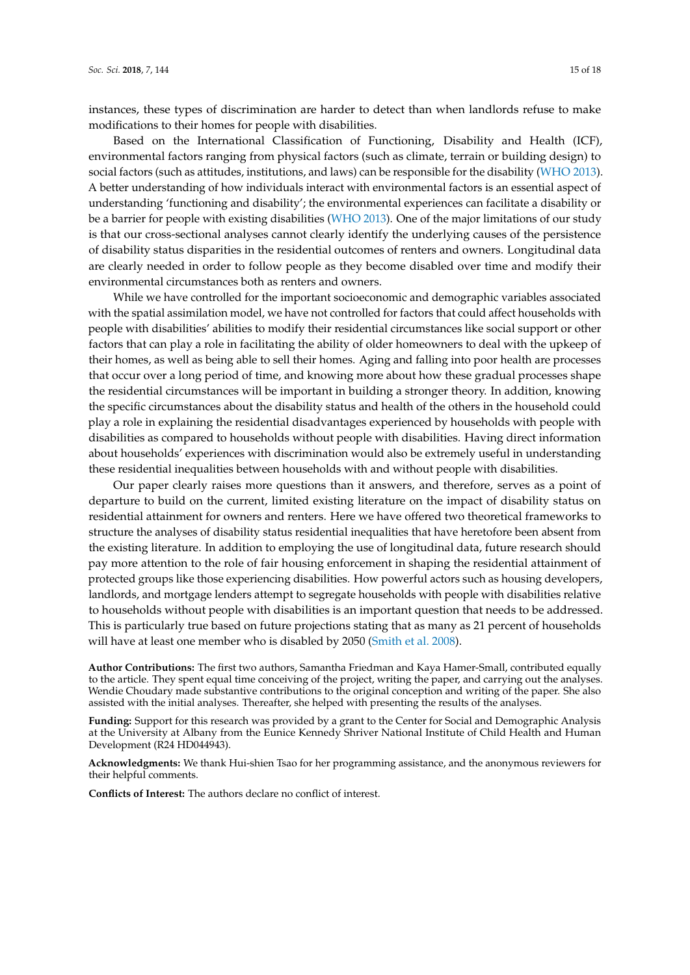instances, these types of discrimination are harder to detect than when landlords refuse to make modifications to their homes for people with disabilities.

Based on the International Classification of Functioning, Disability and Health (ICF), environmental factors ranging from physical factors (such as climate, terrain or building design) to social factors (such as attitudes, institutions, and laws) can be responsible for the disability [\(WHO](#page-17-10) [2013\)](#page-17-10). A better understanding of how individuals interact with environmental factors is an essential aspect of understanding 'functioning and disability'; the environmental experiences can facilitate a disability or be a barrier for people with existing disabilities [\(WHO](#page-17-10) [2013\)](#page-17-10). One of the major limitations of our study is that our cross-sectional analyses cannot clearly identify the underlying causes of the persistence of disability status disparities in the residential outcomes of renters and owners. Longitudinal data are clearly needed in order to follow people as they become disabled over time and modify their environmental circumstances both as renters and owners.

While we have controlled for the important socioeconomic and demographic variables associated with the spatial assimilation model, we have not controlled for factors that could affect households with people with disabilities' abilities to modify their residential circumstances like social support or other factors that can play a role in facilitating the ability of older homeowners to deal with the upkeep of their homes, as well as being able to sell their homes. Aging and falling into poor health are processes that occur over a long period of time, and knowing more about how these gradual processes shape the residential circumstances will be important in building a stronger theory. In addition, knowing the specific circumstances about the disability status and health of the others in the household could play a role in explaining the residential disadvantages experienced by households with people with disabilities as compared to households without people with disabilities. Having direct information about households' experiences with discrimination would also be extremely useful in understanding these residential inequalities between households with and without people with disabilities.

Our paper clearly raises more questions than it answers, and therefore, serves as a point of departure to build on the current, limited existing literature on the impact of disability status on residential attainment for owners and renters. Here we have offered two theoretical frameworks to structure the analyses of disability status residential inequalities that have heretofore been absent from the existing literature. In addition to employing the use of longitudinal data, future research should pay more attention to the role of fair housing enforcement in shaping the residential attainment of protected groups like those experiencing disabilities. How powerful actors such as housing developers, landlords, and mortgage lenders attempt to segregate households with people with disabilities relative to households without people with disabilities is an important question that needs to be addressed. This is particularly true based on future projections stating that as many as 21 percent of households will have at least one member who is disabled by 2050 [\(Smith et al.](#page-17-1) [2008\)](#page-17-1).

**Author Contributions:** The first two authors, Samantha Friedman and Kaya Hamer-Small, contributed equally to the article. They spent equal time conceiving of the project, writing the paper, and carrying out the analyses. Wendie Choudary made substantive contributions to the original conception and writing of the paper. She also assisted with the initial analyses. Thereafter, she helped with presenting the results of the analyses.

**Funding:** Support for this research was provided by a grant to the Center for Social and Demographic Analysis at the University at Albany from the Eunice Kennedy Shriver National Institute of Child Health and Human Development (R24 HD044943).

**Acknowledgments:** We thank Hui-shien Tsao for her programming assistance, and the anonymous reviewers for their helpful comments.

**Conflicts of Interest:** The authors declare no conflict of interest.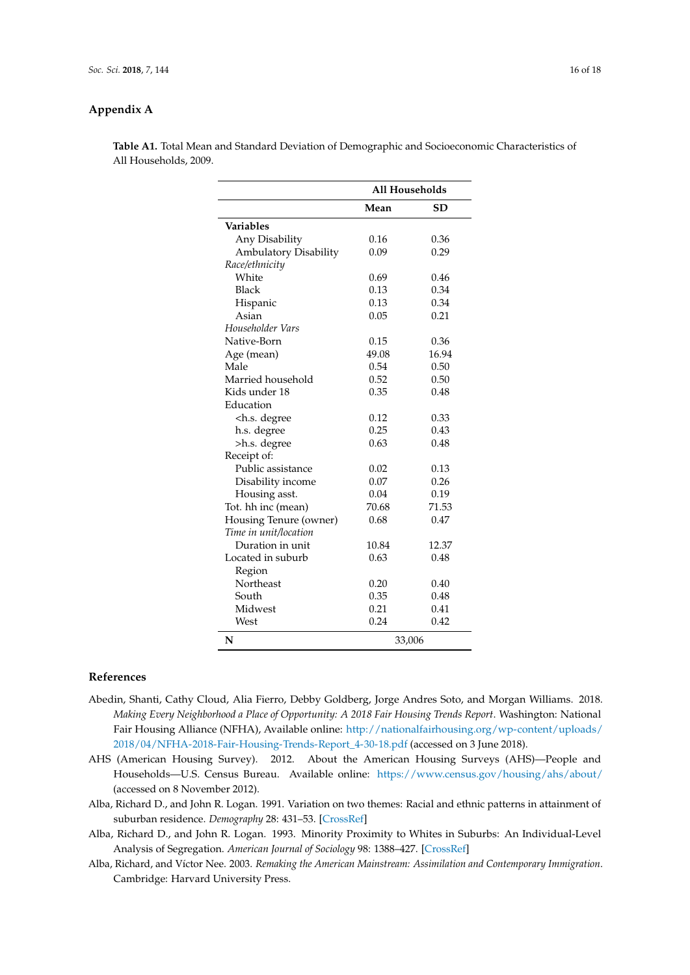# **Appendix A**

|                                                          | All Households |       |
|----------------------------------------------------------|----------------|-------|
|                                                          | Mean           | SD    |
| <b>Variables</b>                                         |                |       |
| Any Disability                                           | 0.16           | 0.36  |
| Ambulatory Disability                                    | 0.09           | 0.29  |
| Race/ethnicity                                           |                |       |
| White                                                    | 0.69           | 0.46  |
| <b>Black</b>                                             | 0.13           | 0.34  |
| Hispanic                                                 | 0.13           | 0.34  |
| Asian                                                    | 0.05           | 0.21  |
| Householder Vars                                         |                |       |
| Native-Born                                              | 0.15           | 0.36  |
| Age (mean)                                               | 49.08          | 16.94 |
| Male                                                     | 0.54           | 0.50  |
| Married household                                        | 0.52           | 0.50  |
| Kids under 18                                            | 0.35           | 0.48  |
| Education                                                |                |       |
| <h.s. degree<="" td=""><td>0.12</td><td>0.33</td></h.s.> | 0.12           | 0.33  |
| h.s. degree                                              | 0.25           | 0.43  |
| >h.s. degree                                             | 0.63           | 0.48  |
| Receipt of:                                              |                |       |
| Public assistance                                        | 0.02           | 0.13  |
| Disability income                                        | 0.07           | 0.26  |
| Housing asst.                                            | 0.04           | 0.19  |
| Tot. hh inc (mean)                                       | 70.68          | 71.53 |
| Housing Tenure (owner)                                   | 0.68           | 0.47  |
| Time in unit/location                                    |                |       |
| Duration in unit                                         | 10.84          | 12.37 |
| Located in suburb                                        | 0.63           | 0.48  |
| Region                                                   |                |       |
| Northeast                                                | 0.20           | 0.40  |
| South                                                    | 0.35           | 0.48  |
| Midwest                                                  | 0.21           | 0.41  |
| West                                                     | 0.24           | 0.42  |
| N                                                        | 33,006         |       |

<span id="page-15-5"></span>**Table A1.** Total Mean and Standard Deviation of Demographic and Socioeconomic Characteristics of All Households, 2009.

## **References**

- <span id="page-15-0"></span>Abedin, Shanti, Cathy Cloud, Alia Fierro, Debby Goldberg, Jorge Andres Soto, and Morgan Williams. 2018. *Making Every Neighborhood a Place of Opportunity: A 2018 Fair Housing Trends Report*. Washington: National Fair Housing Alliance (NFHA), Available online: [http://nationalfairhousing.org/wp-content/uploads/](http://nationalfairhousing.org/wp-content/uploads/2018/04/NFHA-2018-Fair-Housing-Trends-Report_4-30-18.pdf) [2018/04/NFHA-2018-Fair-Housing-Trends-Report\\_4-30-18.pdf](http://nationalfairhousing.org/wp-content/uploads/2018/04/NFHA-2018-Fair-Housing-Trends-Report_4-30-18.pdf) (accessed on 3 June 2018).
- <span id="page-15-1"></span>AHS (American Housing Survey). 2012. About the American Housing Surveys (AHS)—People and Households—U.S. Census Bureau. Available online: <https://www.census.gov/housing/ahs/about/> (accessed on 8 November 2012).
- <span id="page-15-2"></span>Alba, Richard D., and John R. Logan. 1991. Variation on two themes: Racial and ethnic patterns in attainment of suburban residence. *Demography* 28: 431–53. [\[CrossRef\]](http://dx.doi.org/10.2307/2061466)
- <span id="page-15-3"></span>Alba, Richard D., and John R. Logan. 1993. Minority Proximity to Whites in Suburbs: An Individual-Level Analysis of Segregation. *American Journal of Sociology* 98: 1388–427. [\[CrossRef\]](http://dx.doi.org/10.1086/230193)
- <span id="page-15-4"></span>Alba, Richard, and Víctor Nee. 2003. *Remaking the American Mainstream: Assimilation and Contemporary Immigration*. Cambridge: Harvard University Press.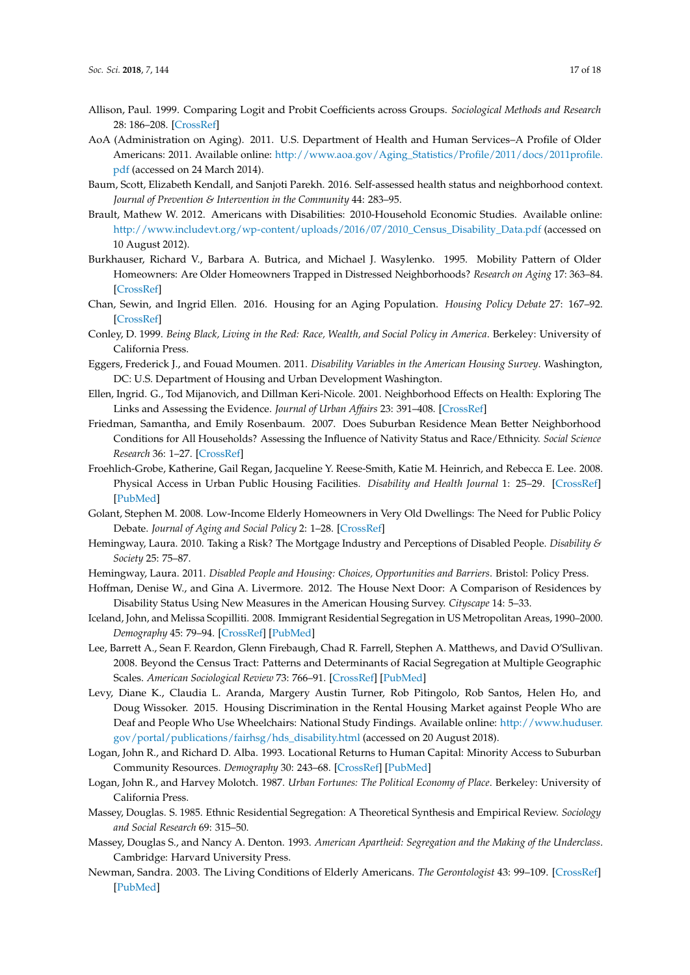- <span id="page-16-22"></span>Allison, Paul. 1999. Comparing Logit and Probit Coefficients across Groups. *Sociological Methods and Research* 28: 186–208. [\[CrossRef\]](http://dx.doi.org/10.1177/0049124199028002003)
- <span id="page-16-10"></span>AoA (Administration on Aging). 2011. U.S. Department of Health and Human Services–A Profile of Older Americans: 2011. Available online: [http://www.aoa.gov/Aging\\_Statistics/Profile/2011/docs/2011profile.](http://www.aoa.gov/Aging_Statistics/Profile/2011/docs/2011profile.pdf) [pdf](http://www.aoa.gov/Aging_Statistics/Profile/2011/docs/2011profile.pdf) (accessed on 24 March 2014).
- <span id="page-16-9"></span>Baum, Scott, Elizabeth Kendall, and Sanjoti Parekh. 2016. Self-assessed health status and neighborhood context. *Journal of Prevention & Intervention in the Community* 44: 283–95.
- <span id="page-16-0"></span>Brault, Mathew W. 2012. Americans with Disabilities: 2010-Household Economic Studies. Available online: [http://www.includevt.org/wp-content/uploads/2016/07/2010\\_Census\\_Disability\\_Data.pdf](http://www.includevt.org/wp-content/uploads/2016/07/2010_Census_Disability_Data.pdf) (accessed on 10 August 2012).
- <span id="page-16-19"></span>Burkhauser, Richard V., Barbara A. Butrica, and Michael J. Wasylenko. 1995. Mobility Pattern of Older Homeowners: Are Older Homeowners Trapped in Distressed Neighborhoods? *Research on Aging* 17: 363–84. [\[CrossRef\]](http://dx.doi.org/10.1177/0164027595174001)
- <span id="page-16-18"></span>Chan, Sewin, and Ingrid Ellen. 2016. Housing for an Aging Population. *Housing Policy Debate* 27: 167–92. [\[CrossRef\]](http://dx.doi.org/10.1080/10511482.2016.1184696)
- <span id="page-16-3"></span>Conley, D. 1999. *Being Black, Living in the Red: Race, Wealth, and Social Policy in America*. Berkeley: University of California Press.
- <span id="page-16-20"></span>Eggers, Frederick J., and Fouad Moumen. 2011. *Disability Variables in the American Housing Survey*. Washington, DC: U.S. Department of Housing and Urban Development Washington.
- <span id="page-16-8"></span>Ellen, Ingrid. G., Tod Mijanovich, and Dillman Keri-Nicole. 2001. Neighborhood Effects on Health: Exploring The Links and Assessing the Evidence. *Journal of Urban Affairs* 23: 391–408. [\[CrossRef\]](http://dx.doi.org/10.1111/0735-2166.00096)
- <span id="page-16-21"></span>Friedman, Samantha, and Emily Rosenbaum. 2007. Does Suburban Residence Mean Better Neighborhood Conditions for All Households? Assessing the Influence of Nativity Status and Race/Ethnicity. *Social Science Research* 36: 1–27. [\[CrossRef\]](http://dx.doi.org/10.1016/j.ssresearch.2005.09.002)
- <span id="page-16-16"></span>Froehlich-Grobe, Katherine, Gail Regan, Jacqueline Y. Reese-Smith, Katie M. Heinrich, and Rebecca E. Lee. 2008. Physical Access in Urban Public Housing Facilities. *Disability and Health Journal* 1: 25–29. [\[CrossRef\]](http://dx.doi.org/10.1016/j.dhjo.2007.11.003) [\[PubMed\]](http://www.ncbi.nlm.nih.gov/pubmed/21122708)
- <span id="page-16-11"></span>Golant, Stephen M. 2008. Low-Income Elderly Homeowners in Very Old Dwellings: The Need for Public Policy Debate. *Journal of Aging and Social Policy* 2: 1–28. [\[CrossRef\]](http://dx.doi.org/10.1300/J031v20n01_01)
- <span id="page-16-12"></span>Hemingway, Laura. 2010. Taking a Risk? The Mortgage Industry and Perceptions of Disabled People. *Disability & Society* 25: 75–87.
- <span id="page-16-13"></span>Hemingway, Laura. 2011. *Disabled People and Housing: Choices, Opportunities and Barriers*. Bristol: Policy Press.
- <span id="page-16-1"></span>Hoffman, Denise W., and Gina A. Livermore. 2012. The House Next Door: A Comparison of Residences by Disability Status Using New Measures in the American Housing Survey. *Cityscape* 14: 5–33.
- <span id="page-16-7"></span>Iceland, John, and Melissa Scopilliti. 2008. Immigrant Residential Segregation in US Metropolitan Areas, 1990–2000. *Demography* 45: 79–94. [\[CrossRef\]](http://dx.doi.org/10.1353/dem.2008.0009) [\[PubMed\]](http://www.ncbi.nlm.nih.gov/pubmed/18390292)
- <span id="page-16-6"></span>Lee, Barrett A., Sean F. Reardon, Glenn Firebaugh, Chad R. Farrell, Stephen A. Matthews, and David O'Sullivan. 2008. Beyond the Census Tract: Patterns and Determinants of Racial Segregation at Multiple Geographic Scales. *American Sociological Review* 73: 766–91. [\[CrossRef\]](http://dx.doi.org/10.1177/000312240807300504) [\[PubMed\]](http://www.ncbi.nlm.nih.gov/pubmed/25324575)
- <span id="page-16-17"></span>Levy, Diane K., Claudia L. Aranda, Margery Austin Turner, Rob Pitingolo, Rob Santos, Helen Ho, and Doug Wissoker. 2015. Housing Discrimination in the Rental Housing Market against People Who are Deaf and People Who Use Wheelchairs: National Study Findings. Available online: [http://www.huduser.](http://www.huduser.gov/portal/publications/fairhsg/hds_disability.html) [gov/portal/publications/fairhsg/hds\\_disability.html](http://www.huduser.gov/portal/publications/fairhsg/hds_disability.html) (accessed on 20 August 2018).
- <span id="page-16-5"></span>Logan, John R., and Richard D. Alba. 1993. Locational Returns to Human Capital: Minority Access to Suburban Community Resources. *Demography* 30: 243–68. [\[CrossRef\]](http://dx.doi.org/10.2307/2061840) [\[PubMed\]](http://www.ncbi.nlm.nih.gov/pubmed/8500639)
- <span id="page-16-14"></span>Logan, John R., and Harvey Molotch. 1987. *Urban Fortunes: The Political Economy of Place*. Berkeley: University of California Press.
- <span id="page-16-4"></span>Massey, Douglas. S. 1985. Ethnic Residential Segregation: A Theoretical Synthesis and Empirical Review. *Sociology and Social Research* 69: 315–50.
- <span id="page-16-15"></span>Massey, Douglas S., and Nancy A. Denton. 1993. *American Apartheid: Segregation and the Making of the Underclass*. Cambridge: Harvard University Press.
- <span id="page-16-2"></span>Newman, Sandra. 2003. The Living Conditions of Elderly Americans. *The Gerontologist* 43: 99–109. [\[CrossRef\]](http://dx.doi.org/10.1093/geront/43.1.99) [\[PubMed\]](http://www.ncbi.nlm.nih.gov/pubmed/12604751)